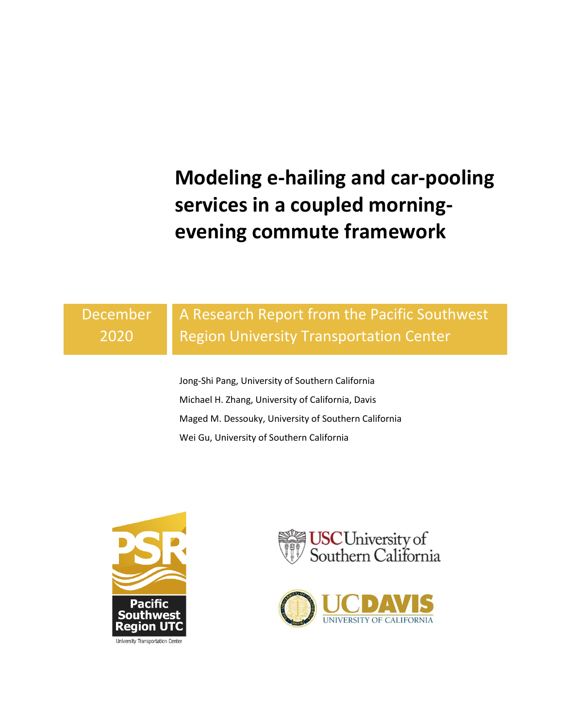**Modeling e-hailing and car-pooling services in a coupled morningevening commute framework**

December 2020

# A Research Report from the Pacific Southwest Region University Transportation Center

Jong-Shi Pang, University of Southern California Michael H. Zhang, University of California, Davis Maged M. Dessouky, University of Southern California Wei Gu, University of Southern California





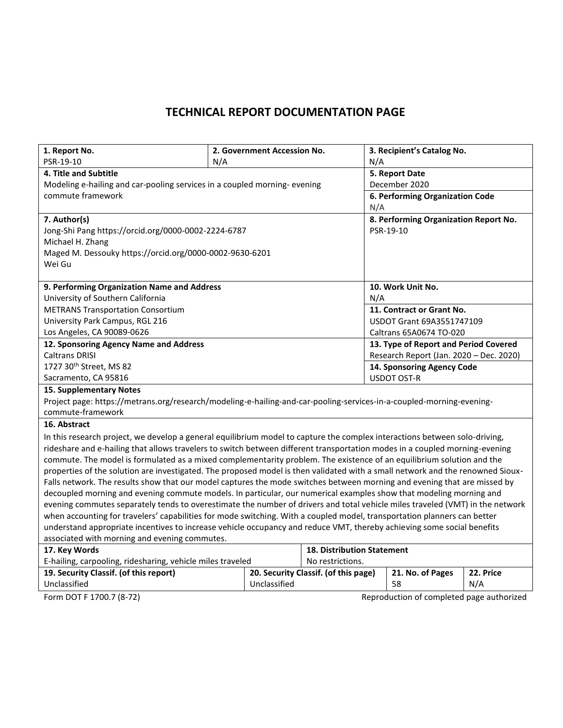# **TECHNICAL REPORT DOCUMENTATION PAGE**

| 1. Report No.                                                                                                                  |  | 2. Government Accession No. |                                       |                                         | 3. Recipient's Catalog No.                |           |  |
|--------------------------------------------------------------------------------------------------------------------------------|--|-----------------------------|---------------------------------------|-----------------------------------------|-------------------------------------------|-----------|--|
| PSR-19-10<br>N/A                                                                                                               |  |                             |                                       | N/A                                     |                                           |           |  |
| 4. Title and Subtitle                                                                                                          |  |                             |                                       | 5. Report Date                          |                                           |           |  |
| Modeling e-hailing and car-pooling services in a coupled morning- evening                                                      |  |                             |                                       | December 2020                           |                                           |           |  |
| commute framework                                                                                                              |  |                             |                                       | 6. Performing Organization Code         |                                           |           |  |
|                                                                                                                                |  |                             |                                       | N/A                                     |                                           |           |  |
| 7. Author(s)                                                                                                                   |  |                             |                                       |                                         | 8. Performing Organization Report No.     |           |  |
| Jong-Shi Pang https://orcid.org/0000-0002-2224-6787                                                                            |  |                             |                                       |                                         | PSR-19-10                                 |           |  |
| Michael H. Zhang                                                                                                               |  |                             |                                       |                                         |                                           |           |  |
| Maged M. Dessouky https://orcid.org/0000-0002-9630-6201                                                                        |  |                             |                                       |                                         |                                           |           |  |
| Wei Gu                                                                                                                         |  |                             |                                       |                                         |                                           |           |  |
|                                                                                                                                |  |                             |                                       |                                         |                                           |           |  |
| 9. Performing Organization Name and Address                                                                                    |  |                             |                                       |                                         | 10. Work Unit No.                         |           |  |
| University of Southern California                                                                                              |  |                             |                                       | N/A                                     |                                           |           |  |
| <b>METRANS Transportation Consortium</b>                                                                                       |  |                             |                                       |                                         | 11. Contract or Grant No.                 |           |  |
| University Park Campus, RGL 216                                                                                                |  |                             |                                       |                                         | <b>USDOT Grant 69A3551747109</b>          |           |  |
| Los Angeles, CA 90089-0626                                                                                                     |  |                             |                                       |                                         | Caltrans 65A0674 TO-020                   |           |  |
| 12. Sponsoring Agency Name and Address                                                                                         |  |                             | 13. Type of Report and Period Covered |                                         |                                           |           |  |
| <b>Caltrans DRISI</b>                                                                                                          |  |                             |                                       | Research Report (Jan. 2020 - Dec. 2020) |                                           |           |  |
| 1727 30 <sup>th</sup> Street, MS 82                                                                                            |  |                             |                                       |                                         | 14. Sponsoring Agency Code                |           |  |
| Sacramento, CA 95816                                                                                                           |  |                             |                                       |                                         | <b>USDOT OST-R</b>                        |           |  |
| <b>15. Supplementary Notes</b>                                                                                                 |  |                             |                                       |                                         |                                           |           |  |
| Project page: https://metrans.org/research/modeling-e-hailing-and-car-pooling-services-in-a-coupled-morning-evening-           |  |                             |                                       |                                         |                                           |           |  |
| commute-framework                                                                                                              |  |                             |                                       |                                         |                                           |           |  |
| 16. Abstract                                                                                                                   |  |                             |                                       |                                         |                                           |           |  |
| In this research project, we develop a general equilibrium model to capture the complex interactions between solo-driving,     |  |                             |                                       |                                         |                                           |           |  |
| rideshare and e-hailing that allows travelers to switch between different transportation modes in a coupled morning-evening    |  |                             |                                       |                                         |                                           |           |  |
| commute. The model is formulated as a mixed complementarity problem. The existence of an equilibrium solution and the          |  |                             |                                       |                                         |                                           |           |  |
| properties of the solution are investigated. The proposed model is then validated with a small network and the renowned Sioux- |  |                             |                                       |                                         |                                           |           |  |
| Falls network. The results show that our model captures the mode switches between morning and evening that are missed by       |  |                             |                                       |                                         |                                           |           |  |
| decoupled morning and evening commute models. In particular, our numerical examples show that modeling morning and             |  |                             |                                       |                                         |                                           |           |  |
| evening commutes separately tends to overestimate the number of drivers and total vehicle miles traveled (VMT) in the network  |  |                             |                                       |                                         |                                           |           |  |
| when accounting for travelers' capabilities for mode switching. With a coupled model, transportation planners can better       |  |                             |                                       |                                         |                                           |           |  |
| understand appropriate incentives to increase vehicle occupancy and reduce VMT, thereby achieving some social benefits         |  |                             |                                       |                                         |                                           |           |  |
| associated with morning and evening commutes.                                                                                  |  |                             |                                       |                                         |                                           |           |  |
| 17. Key Words                                                                                                                  |  |                             | <b>18. Distribution Statement</b>     |                                         |                                           |           |  |
| E-hailing, carpooling, ridesharing, vehicle miles traveled                                                                     |  |                             | No restrictions.                      |                                         |                                           |           |  |
| 19. Security Classif. (of this report)                                                                                         |  |                             | 20. Security Classif. (of this page)  |                                         | 21. No. of Pages                          | 22. Price |  |
| Unclassified                                                                                                                   |  | Unclassified                |                                       | 58<br>N/A                               |                                           |           |  |
| Form DOT F 1700.7 (8-72)                                                                                                       |  |                             |                                       |                                         | Reproduction of completed page authorized |           |  |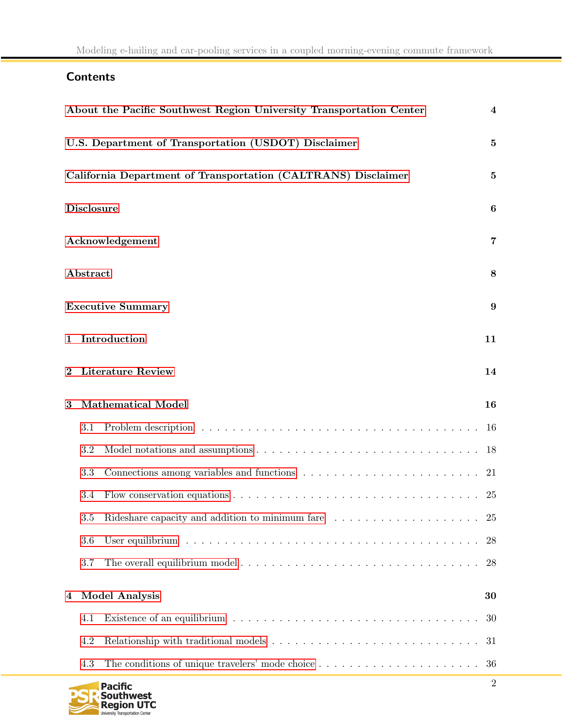# <span id="page-2-0"></span>**Contents**

|          |                   | About the Pacific Southwest Region University Transportation Center                                        | $\overline{\mathbf{4}}$ |
|----------|-------------------|------------------------------------------------------------------------------------------------------------|-------------------------|
|          |                   | U.S. Department of Transportation (USDOT) Disclaimer                                                       | $\bf{5}$                |
|          |                   | California Department of Transportation (CALTRANS) Disclaimer                                              | $\bf{5}$                |
|          | <b>Disclosure</b> |                                                                                                            | $\boldsymbol{6}$        |
|          |                   | Acknowledgement                                                                                            | 7                       |
|          | Abstract          |                                                                                                            | 8                       |
|          |                   | <b>Executive Summary</b>                                                                                   | 9                       |
| 1        |                   | Introduction                                                                                               | 11                      |
| $\bf{2}$ |                   | <b>Literature Review</b>                                                                                   | 14                      |
| 3        |                   | <b>Mathematical Model</b>                                                                                  | 16                      |
|          | 3.1               |                                                                                                            | 16                      |
|          | 3.2               |                                                                                                            | 18                      |
|          | 3.3               | Connections among variables and functions $\ldots \ldots \ldots \ldots \ldots \ldots \ldots \ldots$        | 21                      |
|          | 3.4               | Flow conservation equations $\ldots \ldots \ldots \ldots \ldots \ldots \ldots \ldots \ldots \ldots \ldots$ | 25                      |
|          | $3.5\,$           |                                                                                                            | 25                      |
|          | 3.6               |                                                                                                            | 28                      |
|          | 3.7               | The overall equilibrium model                                                                              | 28                      |
| 4        |                   | <b>Model Analysis</b>                                                                                      | 30                      |
|          | 4.1               |                                                                                                            | 30                      |
|          | 4.2               |                                                                                                            | 31                      |
|          | 4.3               |                                                                                                            | 36                      |
|          |                   |                                                                                                            |                         |

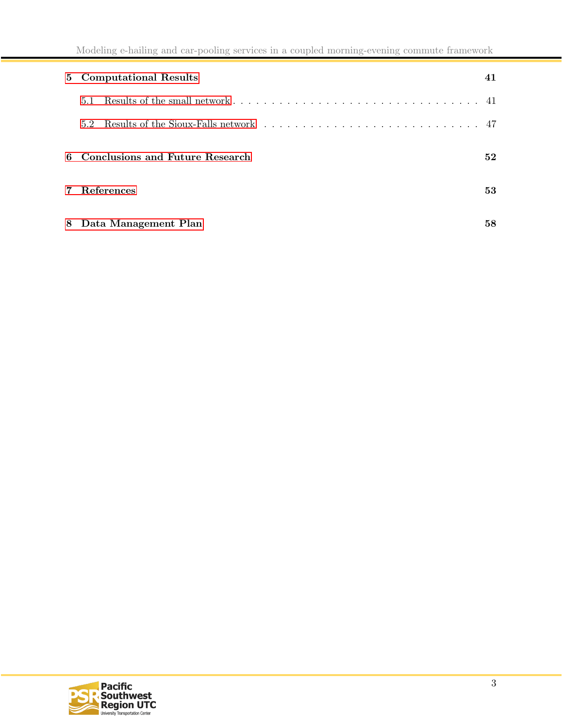|                |     | 5 Computational Results           | 41 |
|----------------|-----|-----------------------------------|----|
|                | 5.1 |                                   |    |
|                | 5.2 |                                   |    |
|                |     | 6 Conclusions and Future Research | 52 |
| $\overline{7}$ |     | References                        | 53 |
|                |     | 8 Data Management Plan            | 58 |

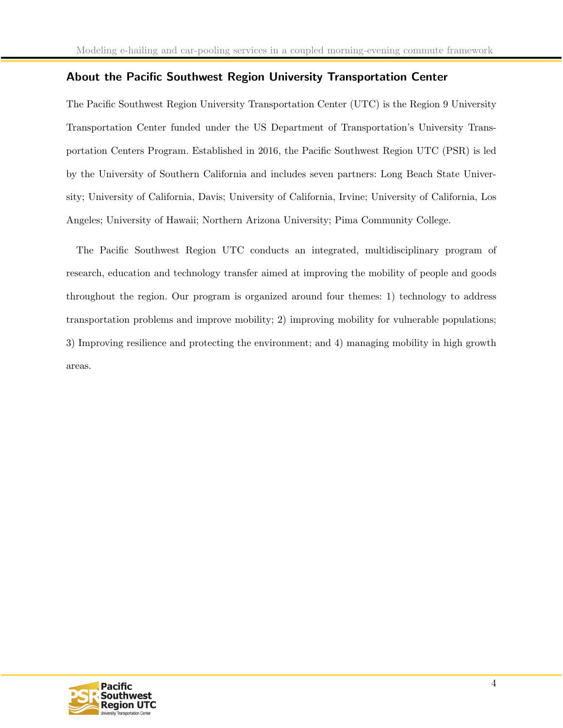# <span id="page-4-0"></span>About the Pacific Southwest Region University Transportation Center

The Pacific Southwest Region University Transportation Center (UTC) is the Region 9 University Transportation Center funded under the US Department of Transportation's University Transportation Centers Program. Established in 2016, the Pacific Southwest Region UTC (PSR) is led by the University of Southern California and includes seven partners: Long Beach State University; University of California, Davis; University of California, Irvine; University of California, Los Angeles; University of Hawaii; Northern Arizona University; Pima Community College.

The Pacific Southwest Region UTC conducts an integrated, multidisciplinary program of research, education and technology transfer aimed at improving the mobility of people and goods throughout the region. Our program is organized around four themes: 1) technology to address transportation problems and improve mobility; 2) improving mobility for vulnerable populations; 3) Improving resilience and protecting the environment; and 4) managing mobility in high growth areas.

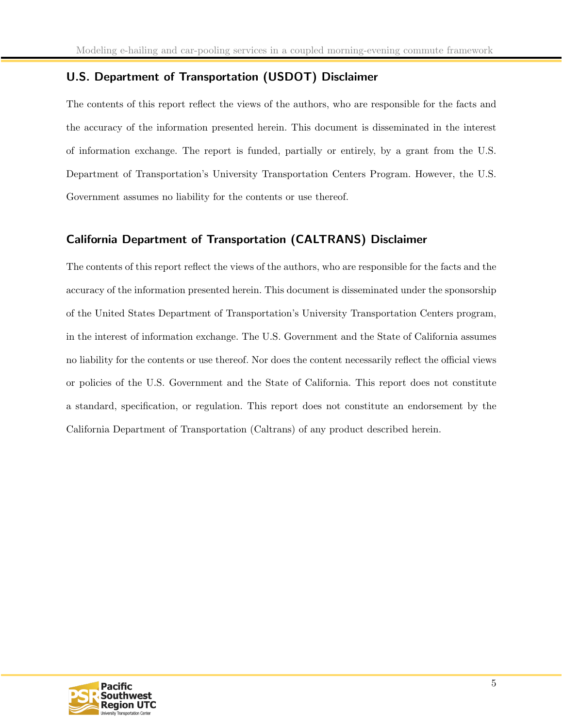# <span id="page-5-0"></span>U.S. Department of Transportation (USDOT) Disclaimer

The contents of this report reflect the views of the authors, who are responsible for the facts and the accuracy of the information presented herein. This document is disseminated in the interest of information exchange. The report is funded, partially or entirely, by a grant from the U.S. Department of Transportation's University Transportation Centers Program. However, the U.S. Government assumes no liability for the contents or use thereof.

# <span id="page-5-1"></span>California Department of Transportation (CALTRANS) Disclaimer

The contents of this report reflect the views of the authors, who are responsible for the facts and the accuracy of the information presented herein. This document is disseminated under the sponsorship of the United States Department of Transportation's University Transportation Centers program, in the interest of information exchange. The U.S. Government and the State of California assumes no liability for the contents or use thereof. Nor does the content necessarily reflect the official views or policies of the U.S. Government and the State of California. This report does not constitute a standard, specification, or regulation. This report does not constitute an endorsement by the California Department of Transportation (Caltrans) of any product described herein.

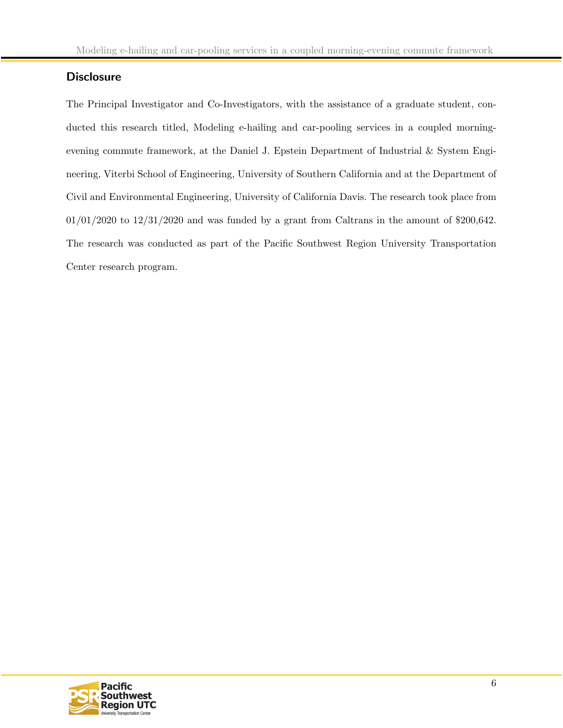# <span id="page-6-0"></span>**Disclosure**

The Principal Investigator and Co-Investigators, with the assistance of a graduate student, conducted this research titled, Modeling e-hailing and car-pooling services in a coupled morningevening commute framework, at the Daniel J. Epstein Department of Industrial & System Engineering, Viterbi School of Engineering, University of Southern California and at the Department of Civil and Environmental Engineering, University of California Davis. The research took place from 01/01/2020 to 12/31/2020 and was funded by a grant from Caltrans in the amount of \$200,642. The research was conducted as part of the Pacific Southwest Region University Transportation Center research program.

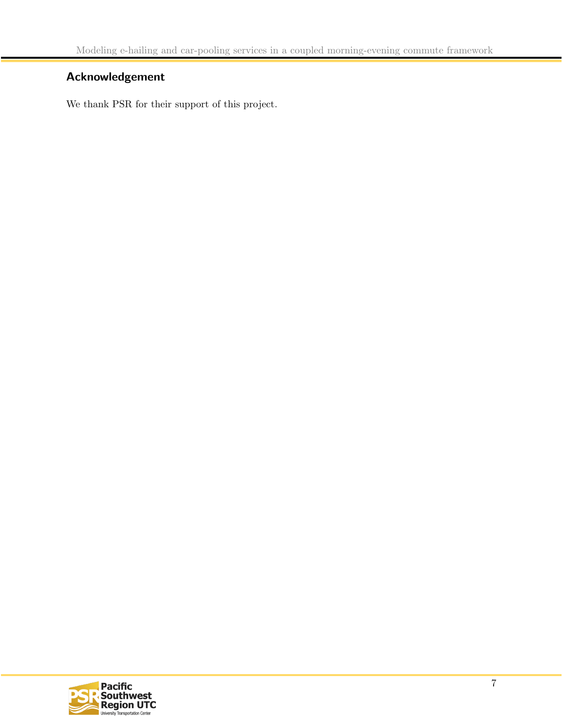# <span id="page-7-0"></span>Acknowledgement

We thank PSR for their support of this project.

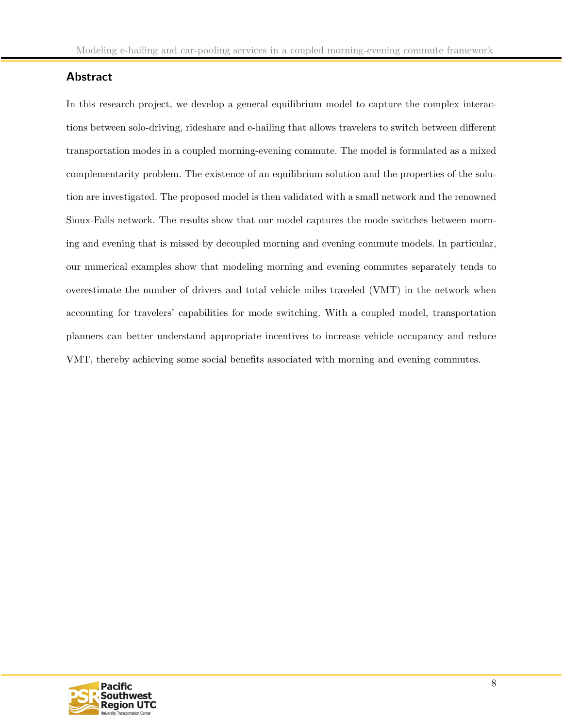# <span id="page-8-0"></span>Abstract

In this research project, we develop a general equilibrium model to capture the complex interactions between solo-driving, rideshare and e-hailing that allows travelers to switch between different transportation modes in a coupled morning-evening commute. The model is formulated as a mixed complementarity problem. The existence of an equilibrium solution and the properties of the solution are investigated. The proposed model is then validated with a small network and the renowned Sioux-Falls network. The results show that our model captures the mode switches between morning and evening that is missed by decoupled morning and evening commute models. In particular, our numerical examples show that modeling morning and evening commutes separately tends to overestimate the number of drivers and total vehicle miles traveled (VMT) in the network when accounting for travelers' capabilities for mode switching. With a coupled model, transportation planners can better understand appropriate incentives to increase vehicle occupancy and reduce VMT, thereby achieving some social benefits associated with morning and evening commutes.

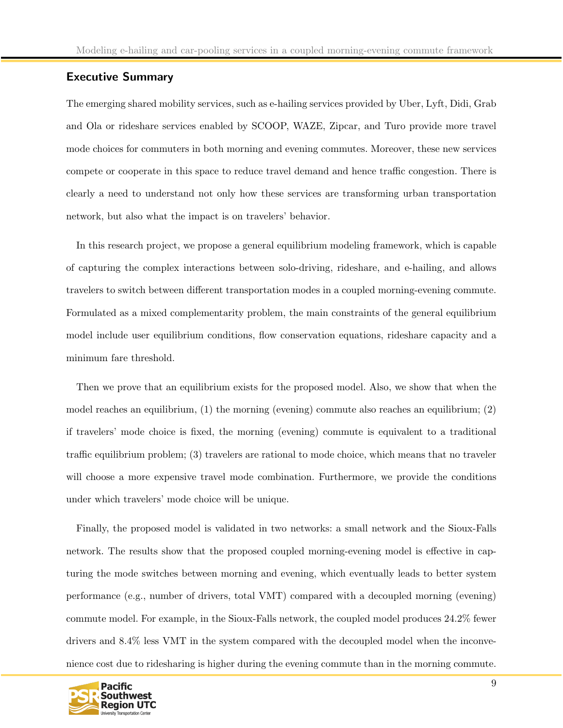### Executive Summary

The emerging shared mobility services, such as e-hailing services provided by Uber, Lyft, Didi, Grab and Ola or rideshare services enabled by SCOOP, WAZE, Zipcar, and Turo provide more travel mode choices for commuters in both morning and evening commutes. Moreover, these new services compete or cooperate in this space to reduce travel demand and hence traffic congestion. There is clearly a need to understand not only how these services are transforming urban transportation network, but also what the impact is on travelers' behavior.

In this research project, we propose a general equilibrium modeling framework, which is capable of capturing the complex interactions between solo-driving, rideshare, and e-hailing, and allows travelers to switch between different transportation modes in a coupled morning-evening commute. Formulated as a mixed complementarity problem, the main constraints of the general equilibrium model include user equilibrium conditions, flow conservation equations, rideshare capacity and a minimum fare threshold.

Then we prove that an equilibrium exists for the proposed model. Also, we show that when the model reaches an equilibrium, (1) the morning (evening) commute also reaches an equilibrium; (2) if travelers' mode choice is fixed, the morning (evening) commute is equivalent to a traditional traffic equilibrium problem; (3) travelers are rational to mode choice, which means that no traveler will choose a more expensive travel mode combination. Furthermore, we provide the conditions under which travelers' mode choice will be unique.

Finally, the proposed model is validated in two networks: a small network and the Sioux-Falls network. The results show that the proposed coupled morning-evening model is effective in capturing the mode switches between morning and evening, which eventually leads to better system performance (e.g., number of drivers, total VMT) compared with a decoupled morning (evening) commute model. For example, in the Sioux-Falls network, the coupled model produces 24.2% fewer drivers and 8.4% less VMT in the system compared with the decoupled model when the inconvenience cost due to ridesharing is higher during the evening commute than in the morning commute.

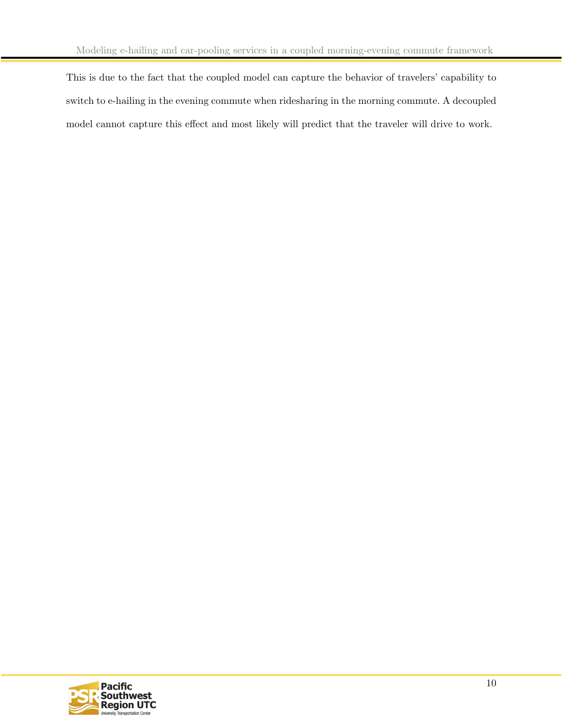This is due to the fact that the coupled model can capture the behavior of travelers' capability to switch to e-hailing in the evening commute when ridesharing in the morning commute. A decoupled model cannot capture this effect and most likely will predict that the traveler will drive to work.

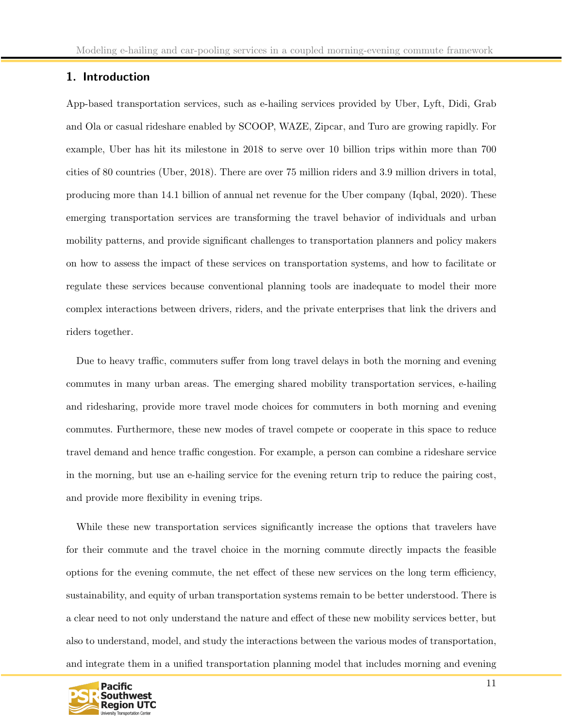# <span id="page-11-0"></span>1. Introduction

App-based transportation services, such as e-hailing services provided by Uber, Lyft, Didi, Grab and Ola or casual rideshare enabled by SCOOP, WAZE, Zipcar, and Turo are growing rapidly. For example, Uber has hit its milestone in 2018 to serve over 10 billion trips within more than 700 cities of 80 countries (Uber, 2018). There are over 75 million riders and 3.9 million drivers in total, producing more than 14.1 billion of annual net revenue for the Uber company (Iqbal, 2020). These emerging transportation services are transforming the travel behavior of individuals and urban mobility patterns, and provide significant challenges to transportation planners and policy makers on how to assess the impact of these services on transportation systems, and how to facilitate or regulate these services because conventional planning tools are inadequate to model their more complex interactions between drivers, riders, and the private enterprises that link the drivers and riders together.

Due to heavy traffic, commuters suffer from long travel delays in both the morning and evening commutes in many urban areas. The emerging shared mobility transportation services, e-hailing and ridesharing, provide more travel mode choices for commuters in both morning and evening commutes. Furthermore, these new modes of travel compete or cooperate in this space to reduce travel demand and hence traffic congestion. For example, a person can combine a rideshare service in the morning, but use an e-hailing service for the evening return trip to reduce the pairing cost, and provide more flexibility in evening trips.

While these new transportation services significantly increase the options that travelers have for their commute and the travel choice in the morning commute directly impacts the feasible options for the evening commute, the net effect of these new services on the long term efficiency, sustainability, and equity of urban transportation systems remain to be better understood. There is a clear need to not only understand the nature and effect of these new mobility services better, but also to understand, model, and study the interactions between the various modes of transportation, and integrate them in a unified transportation planning model that includes morning and evening

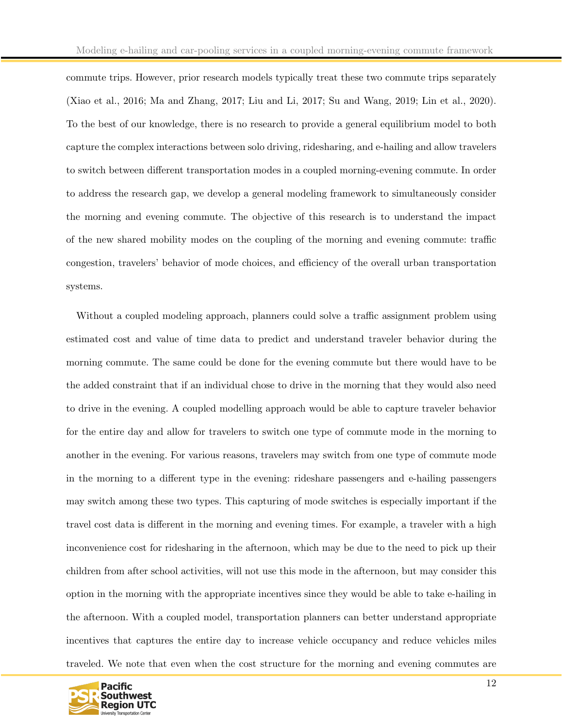commute trips. However, prior research models typically treat these two commute trips separately (Xiao et al., 2016; Ma and Zhang, 2017; Liu and Li, 2017; Su and Wang, 2019; Lin et al., 2020). To the best of our knowledge, there is no research to provide a general equilibrium model to both capture the complex interactions between solo driving, ridesharing, and e-hailing and allow travelers to switch between different transportation modes in a coupled morning-evening commute. In order to address the research gap, we develop a general modeling framework to simultaneously consider the morning and evening commute. The objective of this research is to understand the impact of the new shared mobility modes on the coupling of the morning and evening commute: traffic congestion, travelers' behavior of mode choices, and efficiency of the overall urban transportation systems.

Without a coupled modeling approach, planners could solve a traffic assignment problem using estimated cost and value of time data to predict and understand traveler behavior during the morning commute. The same could be done for the evening commute but there would have to be the added constraint that if an individual chose to drive in the morning that they would also need to drive in the evening. A coupled modelling approach would be able to capture traveler behavior for the entire day and allow for travelers to switch one type of commute mode in the morning to another in the evening. For various reasons, travelers may switch from one type of commute mode in the morning to a different type in the evening: rideshare passengers and e-hailing passengers may switch among these two types. This capturing of mode switches is especially important if the travel cost data is different in the morning and evening times. For example, a traveler with a high inconvenience cost for ridesharing in the afternoon, which may be due to the need to pick up their children from after school activities, will not use this mode in the afternoon, but may consider this option in the morning with the appropriate incentives since they would be able to take e-hailing in the afternoon. With a coupled model, transportation planners can better understand appropriate incentives that captures the entire day to increase vehicle occupancy and reduce vehicles miles traveled. We note that even when the cost structure for the morning and evening commutes are

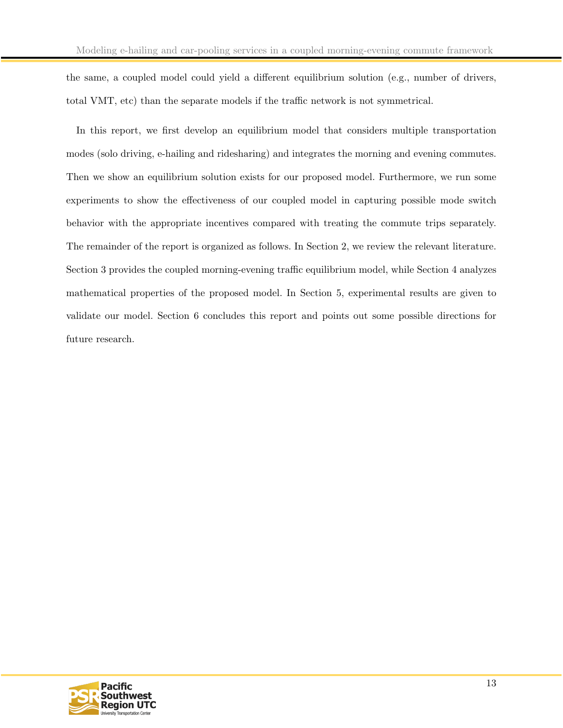the same, a coupled model could yield a different equilibrium solution (e.g., number of drivers, total VMT, etc) than the separate models if the traffic network is not symmetrical.

In this report, we first develop an equilibrium model that considers multiple transportation modes (solo driving, e-hailing and ridesharing) and integrates the morning and evening commutes. Then we show an equilibrium solution exists for our proposed model. Furthermore, we run some experiments to show the effectiveness of our coupled model in capturing possible mode switch behavior with the appropriate incentives compared with treating the commute trips separately. The remainder of the report is organized as follows. In Section 2, we review the relevant literature. Section 3 provides the coupled morning-evening traffic equilibrium model, while Section 4 analyzes mathematical properties of the proposed model. In Section 5, experimental results are given to validate our model. Section 6 concludes this report and points out some possible directions for future research.

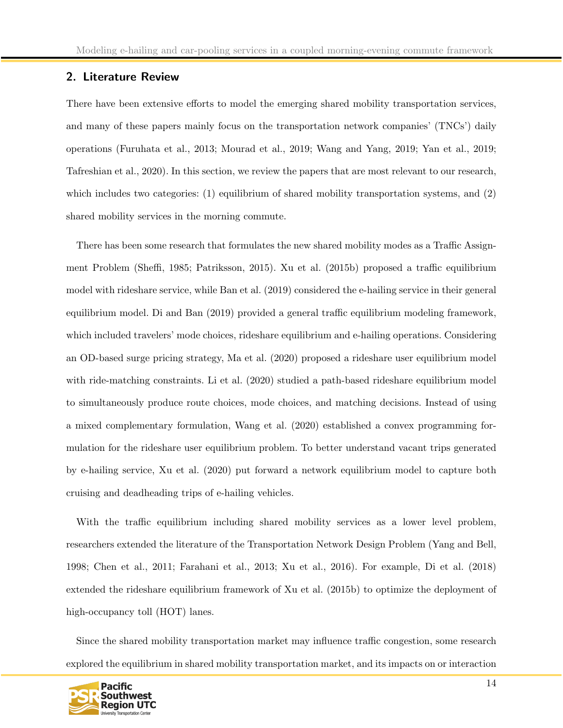## <span id="page-14-0"></span>2. Literature Review

There have been extensive efforts to model the emerging shared mobility transportation services, and many of these papers mainly focus on the transportation network companies' (TNCs') daily operations (Furuhata et al., 2013; Mourad et al., 2019; Wang and Yang, 2019; Yan et al., 2019; Tafreshian et al., 2020). In this section, we review the papers that are most relevant to our research, which includes two categories: (1) equilibrium of shared mobility transportation systems, and (2) shared mobility services in the morning commute.

There has been some research that formulates the new shared mobility modes as a Traffic Assignment Problem (Sheffi, 1985; Patriksson, 2015). Xu et al. (2015b) proposed a traffic equilibrium model with rideshare service, while Ban et al. (2019) considered the e-hailing service in their general equilibrium model. Di and Ban (2019) provided a general traffic equilibrium modeling framework, which included travelers' mode choices, rideshare equilibrium and e-hailing operations. Considering an OD-based surge pricing strategy, Ma et al. (2020) proposed a rideshare user equilibrium model with ride-matching constraints. Li et al. (2020) studied a path-based rideshare equilibrium model to simultaneously produce route choices, mode choices, and matching decisions. Instead of using a mixed complementary formulation, Wang et al. (2020) established a convex programming formulation for the rideshare user equilibrium problem. To better understand vacant trips generated by e-hailing service, Xu et al. (2020) put forward a network equilibrium model to capture both cruising and deadheading trips of e-hailing vehicles.

With the traffic equilibrium including shared mobility services as a lower level problem, researchers extended the literature of the Transportation Network Design Problem (Yang and Bell, 1998; Chen et al., 2011; Farahani et al., 2013; Xu et al., 2016). For example, Di et al. (2018) extended the rideshare equilibrium framework of Xu et al. (2015b) to optimize the deployment of high-occupancy toll (HOT) lanes.

Since the shared mobility transportation market may influence traffic congestion, some research explored the equilibrium in shared mobility transportation market, and its impacts on or interaction

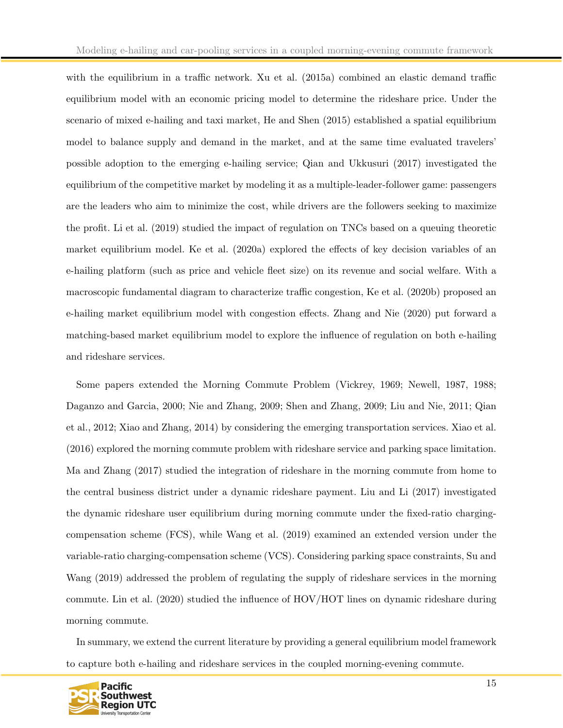with the equilibrium in a traffic network. Xu et al. (2015a) combined an elastic demand traffic equilibrium model with an economic pricing model to determine the rideshare price. Under the scenario of mixed e-hailing and taxi market, He and Shen (2015) established a spatial equilibrium model to balance supply and demand in the market, and at the same time evaluated travelers' possible adoption to the emerging e-hailing service; Qian and Ukkusuri (2017) investigated the equilibrium of the competitive market by modeling it as a multiple-leader-follower game: passengers are the leaders who aim to minimize the cost, while drivers are the followers seeking to maximize the profit. Li et al. (2019) studied the impact of regulation on TNCs based on a queuing theoretic market equilibrium model. Ke et al. (2020a) explored the effects of key decision variables of an e-hailing platform (such as price and vehicle fleet size) on its revenue and social welfare. With a macroscopic fundamental diagram to characterize traffic congestion, Ke et al. (2020b) proposed an e-hailing market equilibrium model with congestion effects. Zhang and Nie (2020) put forward a matching-based market equilibrium model to explore the influence of regulation on both e-hailing and rideshare services.

Some papers extended the Morning Commute Problem (Vickrey, 1969; Newell, 1987, 1988; Daganzo and Garcia, 2000; Nie and Zhang, 2009; Shen and Zhang, 2009; Liu and Nie, 2011; Qian et al., 2012; Xiao and Zhang, 2014) by considering the emerging transportation services. Xiao et al. (2016) explored the morning commute problem with rideshare service and parking space limitation. Ma and Zhang (2017) studied the integration of rideshare in the morning commute from home to the central business district under a dynamic rideshare payment. Liu and Li (2017) investigated the dynamic rideshare user equilibrium during morning commute under the fixed-ratio chargingcompensation scheme (FCS), while Wang et al. (2019) examined an extended version under the variable-ratio charging-compensation scheme (VCS). Considering parking space constraints, Su and Wang (2019) addressed the problem of regulating the supply of rideshare services in the morning commute. Lin et al. (2020) studied the influence of HOV/HOT lines on dynamic rideshare during morning commute.

In summary, we extend the current literature by providing a general equilibrium model framework to capture both e-hailing and rideshare services in the coupled morning-evening commute.

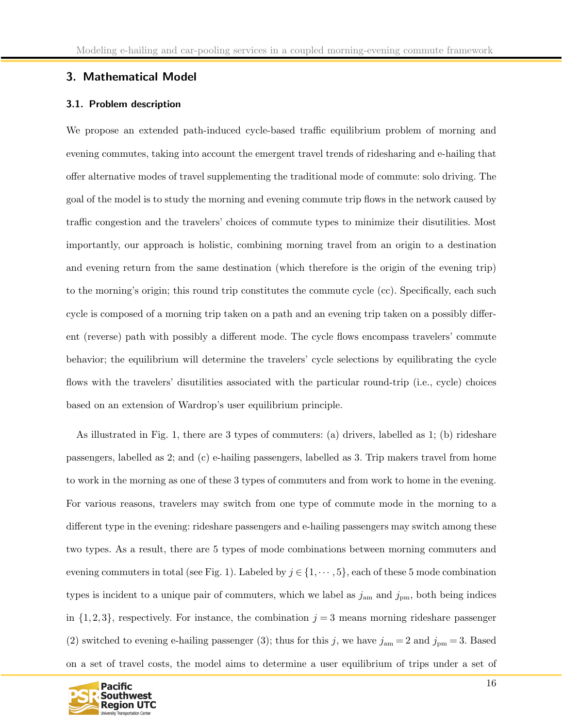# <span id="page-16-1"></span><span id="page-16-0"></span>3. Mathematical Model

### 3.1. Problem description

We propose an extended path-induced cycle-based traffic equilibrium problem of morning and evening commutes, taking into account the emergent travel trends of ridesharing and e-hailing that offer alternative modes of travel supplementing the traditional mode of commute: solo driving. The goal of the model is to study the morning and evening commute trip flows in the network caused by traffic congestion and the travelers' choices of commute types to minimize their disutilities. Most importantly, our approach is holistic, combining morning travel from an origin to a destination and evening return from the same destination (which therefore is the origin of the evening trip) to the morning's origin; this round trip constitutes the commute cycle (cc). Specifically, each such cycle is composed of a morning trip taken on a path and an evening trip taken on a possibly different (reverse) path with possibly a different mode. The cycle flows encompass travelers' commute behavior; the equilibrium will determine the travelers' cycle selections by equilibrating the cycle flows with the travelers' disutilities associated with the particular round-trip (i.e., cycle) choices based on an extension of Wardrop's user equilibrium principle.

As illustrated in Fig. 1, there are 3 types of commuters: (a) drivers, labelled as 1; (b) rideshare passengers, labelled as 2; and (c) e-hailing passengers, labelled as 3. Trip makers travel from home to work in the morning as one of these 3 types of commuters and from work to home in the evening. For various reasons, travelers may switch from one type of commute mode in the morning to a different type in the evening: rideshare passengers and e-hailing passengers may switch among these two types. As a result, there are 5 types of mode combinations between morning commuters and evening commuters in total (see Fig. 1). Labeled by  $j \in \{1, \dots, 5\}$ , each of these 5 mode combination types is incident to a unique pair of commuters, which we label as  $j_{\text{am}}$  and  $j_{\text{pm}}$ , both being indices in  $\{1, 2, 3\}$ , respectively. For instance, the combination  $j = 3$  means morning rideshare passenger (2) switched to evening e-hailing passenger (3); thus for this j, we have  $j_{\rm am} = 2$  and  $j_{\rm pm} = 3$ . Based on a set of travel costs, the model aims to determine a user equilibrium of trips under a set of

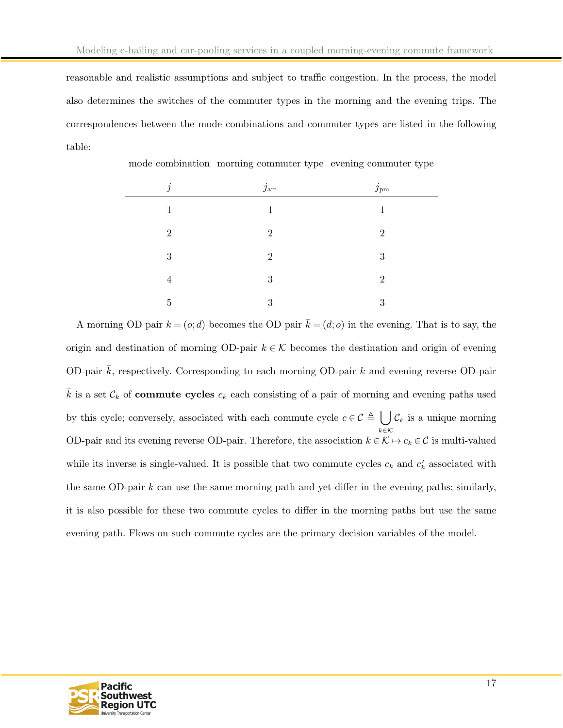reasonable and realistic assumptions and subject to traffic congestion. In the process, the model also determines the switches of the commuter types in the morning and the evening trips. The correspondences between the mode combinations and commuter types are listed in the following table:

| $\dot{q}$<br>., | $j_{\rm am}$   | $j_{\rm pm}$   |
|-----------------|----------------|----------------|
| $\mathbf{1}$    | 1              |                |
| $\overline{2}$  | $\overline{2}$ | $\overline{2}$ |
| 3               | $\overline{2}$ | 3              |
| 4               | 3              | $\overline{2}$ |
| 5               | 3              | 3              |

mode combination morning commuter type evening commuter type

A morning OD pair  $k = (o;d)$  becomes the OD pair  $\bar{k} = (d; o)$  in the evening. That is to say, the origin and destination of morning OD-pair  $k \in \mathcal{K}$  becomes the destination and origin of evening OD-pair  $\bar{k}$ , respectively. Corresponding to each morning OD-pair k and evening reverse OD-pair k is a set  $\mathcal{C}_k$  of **commute cycles**  $c_k$  each consisting of a pair of morning and evening paths used by this cycle; conversely, associated with each commute cycle  $c \in \mathcal{C} \triangleq \left\{ \begin{array}{c} \int \mathcal{C}_k \end{array} \right\}$  is a unique morning k∈K OD-pair and its evening reverse OD-pair. Therefore, the association  $k \in \mathcal{K} \mapsto c_k \in \mathcal{C}$  is multi-valued while its inverse is single-valued. It is possible that two commute cycles  $c_k$  and  $c'_k$  associated with the same OD-pair  $k$  can use the same morning path and yet differ in the evening paths; similarly, it is also possible for these two commute cycles to differ in the morning paths but use the same evening path. Flows on such commute cycles are the primary decision variables of the model.

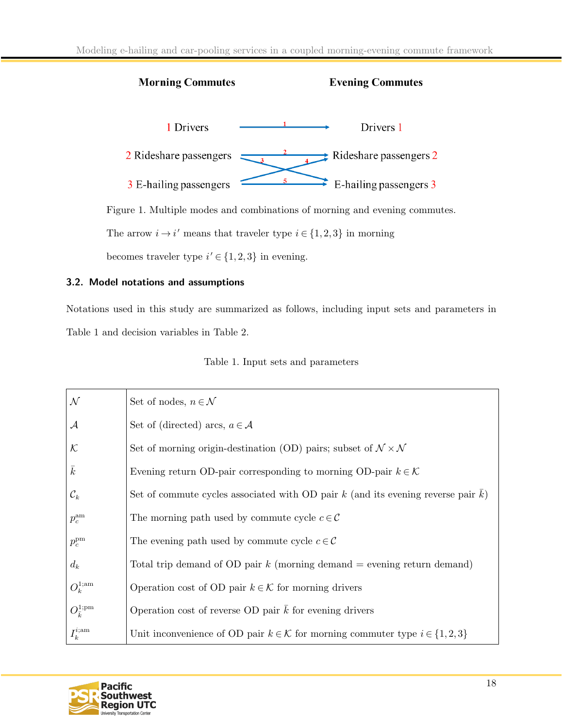

Figure 1. Multiple modes and combinations of morning and evening commutes.

The arrow  $i \rightarrow i'$  means that traveler type  $i \in \{1, 2, 3\}$  in morning

becomes traveler type  $i' \in \{1, 2, 3\}$  in evening.

# <span id="page-18-0"></span>3.2. Model notations and assumptions

Notations used in this study are summarized as follows, including input sets and parameters in Table 1 and decision variables in Table 2.

|  |  |  |  | Table 1. Input sets and parameters |
|--|--|--|--|------------------------------------|
|--|--|--|--|------------------------------------|

| $\cal N$                    | Set of nodes, $n \in \mathcal{N}$                                                             |
|-----------------------------|-----------------------------------------------------------------------------------------------|
| ${\cal A}$                  | Set of (directed) arcs, $a \in \mathcal{A}$                                                   |
| $\cal K$                    | Set of morning origin-destination (OD) pairs; subset of $N \times N$                          |
| $\bar{k}$                   | Evening return OD-pair corresponding to morning OD-pair $k \in \mathcal{K}$                   |
| $\mathcal{C}_k$             | Set of commute cycles associated with OD pair $k$ (and its evening reverse pair $k$ )         |
| $p_c^{\rm am}$              | The morning path used by commute cycle $c \in \mathcal{C}$                                    |
| $p_c^{\rm pm}$              | The evening path used by commute cycle $c \in \mathcal{C}$                                    |
| $d_k$                       | Total trip demand of OD pair $k$ (morning demand $=$ evening return demand)                   |
| $O_k^{1;$ am                | Operation cost of OD pair $k \in \mathcal{K}$ for morning drivers                             |
| $O_{\bar{k}}^{1;\text{pm}}$ | Operation cost of reverse OD pair $\overline{k}$ for evening drivers                          |
| $I_k^{i;am}$                | Unit inconvenience of OD pair $k \in \mathcal{K}$ for morning commuter type $i \in \{1,2,3\}$ |

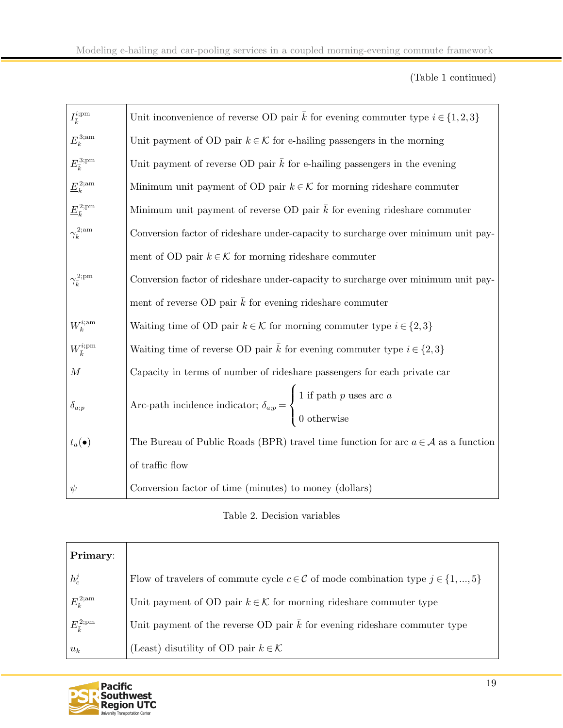# (Table 1 continued)

| $I_{\bar k}^{i;{\rm pm}}$                 | Unit inconvenience of reverse OD pair $\bar{k}$ for evening commuter type $i \in \{1,2,3\}$                                              |
|-------------------------------------------|------------------------------------------------------------------------------------------------------------------------------------------|
| $E_k^{\rm 3;am}$                          | Unit payment of OD pair $k \in \mathcal{K}$ for e-hailing passengers in the morning                                                      |
| $E_{\bar{k}}^{3;\mathrm{pm}}$             | Unit payment of reverse OD pair $\bar{k}$ for e-hailing passengers in the evening                                                        |
| $\underline{E}_k^{2;\text{am}}$           | Minimum unit payment of OD pair $k \in \mathcal{K}$ for morning rideshare commuter                                                       |
| $\underline{E}_{\bar{k}}^{2;\textrm{pm}}$ | Minimum unit payment of reverse OD pair $\bar{k}$ for evening rideshare commuter                                                         |
| $\gamma_k^{2;\text{am}}$                  | Conversion factor of rideshare under-capacity to surcharge over minimum unit pay-                                                        |
|                                           | ment of OD pair $k \in \mathcal{K}$ for morning rideshare commuter                                                                       |
| $\gamma_{\bar{k}}^{2;\text{pm}}$          | Conversion factor of rideshare under-capacity to surcharge over minimum unit pay-                                                        |
|                                           | ment of reverse OD pair $\bar{k}$ for evening rideshare commuter                                                                         |
| $W_k^{i;\mathrm{am}}$                     | Waiting time of OD pair $k \in \mathcal{K}$ for morning commuter type $i \in \{2,3\}$                                                    |
| $W^{i;\text{pm}}_{\bar{k}}$               | Waiting time of reverse OD pair $\bar{k}$ for evening commuter type $i \in \{2,3\}$                                                      |
| $\boldsymbol{M}$                          | Capacity in terms of number of rideshare passengers for each private car                                                                 |
| $\delta_{a;p}$                            | Arc-path incidence indicator; $\delta_{a;p} = \begin{cases} 1 \text{ if path } p \text{ uses arc } a \\ 0 \text{ otherwise} \end{cases}$ |
| $t_a(\bullet)$                            | The Bureau of Public Roads (BPR) travel time function for arc $a \in \mathcal{A}$ as a function                                          |
|                                           | of traffic flow                                                                                                                          |
| $\psi$                                    | Conversion factor of time (minutes) to money (dollars)                                                                                   |

# Table 2. Decision variables

| Primary:                    |                                                                                                    |
|-----------------------------|----------------------------------------------------------------------------------------------------|
| $h_c^j$                     | Flow of travelers of commute cycle $c \in \mathcal{C}$ of mode combination type $j \in \{1, , 5\}$ |
| $E_k^{\rm 2;am}$            | Unit payment of OD pair $k \in \mathcal{K}$ for morning rideshare commuter type                    |
| $E_{\bar{v}}^{2;\text{pm}}$ | Unit payment of the reverse OD pair $\bar{k}$ for evening rideshare commuter type                  |
| $u_k$                       | (Least) disutility of OD pair $k \in \mathcal{K}$                                                  |

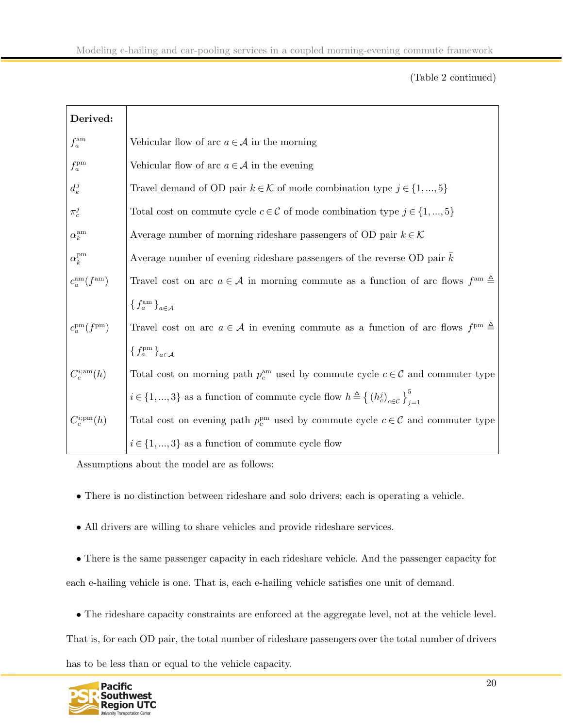(Table 2 continued)

| Derived:                            |                                                                                                                          |
|-------------------------------------|--------------------------------------------------------------------------------------------------------------------------|
| $f_a^{\rm am}$                      | Vehicular flow of arc $a \in \mathcal{A}$ in the morning                                                                 |
| $f_a^{\rm pm}$                      | Vehicular flow of arc $a \in \mathcal{A}$ in the evening                                                                 |
| $d_k^j$                             | Travel demand of OD pair $k \in \mathcal{K}$ of mode combination type $j \in \{1, , 5\}$                                 |
| $\pi_c^j$                           | Total cost on commute cycle $c \in \mathcal{C}$ of mode combination type $j \in \{1, , 5\}$                              |
| $\alpha_k^{\text{am}}$              | Average number of morning rideshare passengers of OD pair $k \in \mathcal{K}$                                            |
| $\alpha_{\overline{k}}^{\text{pm}}$ | Average number of evening rideshare passengers of the reverse OD pair $k$                                                |
| $c_a^{\rm am}(f^{\rm am})$          | Travel cost on arc $a \in \mathcal{A}$ in morning commute as a function of arc flows $fam \triangleq$                    |
|                                     | ${f_a^{\text{am}}}_{a \in A}$                                                                                            |
| $c_a^{\rm pm}(f^{\rm pm})$          | Travel cost on arc $a \in \mathcal{A}$ in evening commute as a function of arc flows $f^{pm} \triangleq$                 |
|                                     | $\{f_a^{\rm pm}\}_{a\in\mathcal{A}}$                                                                                     |
| $C_c^{i;am}(h)$                     | Total cost on morning path $p_c^{\text{am}}$ used by commute cycle $c \in \mathcal{C}$ and commuter type                 |
|                                     | $i \in \{1,,3\}$ as a function of commute cycle flow $h \triangleq \left\{ (h_c^j)_{c \in \mathcal{C}} \right\}_{i=1}^5$ |
| $C_c^{i;pm}(h)$                     | Total cost on evening path $p_c^{\text{pm}}$ used by commute cycle $c \in \mathcal{C}$ and commuter type                 |
|                                     | $i \in \{1, , 3\}$ as a function of commute cycle flow                                                                   |

Assumptions about the model are as follows:

- There is no distinction between rideshare and solo drivers; each is operating a vehicle.
- All drivers are willing to share vehicles and provide rideshare services.

• There is the same passenger capacity in each rideshare vehicle. And the passenger capacity for each e-hailing vehicle is one. That is, each e-hailing vehicle satisfies one unit of demand.

• The rideshare capacity constraints are enforced at the aggregate level, not at the vehicle level.

That is, for each OD pair, the total number of rideshare passengers over the total number of drivers has to be less than or equal to the vehicle capacity.

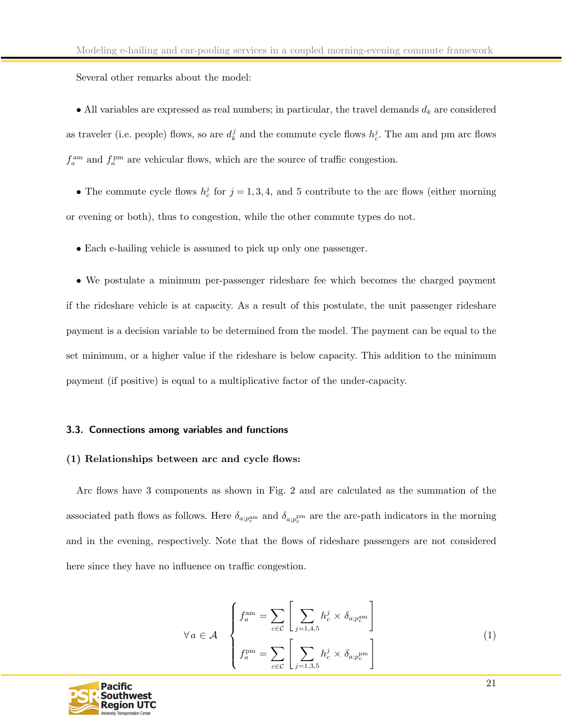Several other remarks about the model:

• All variables are expressed as real numbers; in particular, the travel demands  $d_k$  are considered as traveler (i.e. people) flows, so are  $d_k^j$  and the commute cycle flows  $h_c^j$ . The am and pm arc flows  $f_a^{\text{am}}$  and  $f_a^{\text{pm}}$  are vehicular flows, which are the source of traffic congestion.

• The commute cycle flows  $h_c^j$  for  $j = 1, 3, 4$ , and 5 contribute to the arc flows (either morning or evening or both), thus to congestion, while the other commute types do not.

• Each e-hailing vehicle is assumed to pick up only one passenger.

• We postulate a minimum per-passenger rideshare fee which becomes the charged payment if the rideshare vehicle is at capacity. As a result of this postulate, the unit passenger rideshare payment is a decision variable to be determined from the model. The payment can be equal to the set minimum, or a higher value if the rideshare is below capacity. This addition to the minimum payment (if positive) is equal to a multiplicative factor of the under-capacity.

#### <span id="page-21-0"></span>3.3. Connections among variables and functions

#### (1) Relationships between arc and cycle flows:

Arc flows have 3 components as shown in Fig. 2 and are calculated as the summation of the associated path flows as follows. Here  $\delta_{a;p_c^{\text{pmm}}}$  and  $\delta_{a;p_c^{\text{pmm}}}$  are the arc-path indicators in the morning and in the evening, respectively. Note that the flows of rideshare passengers are not considered here since they have no influence on traffic congestion.

<span id="page-21-1"></span>
$$
\forall a \in \mathcal{A} \quad \begin{cases} f_a^{\text{am}} = \sum_{c \in \mathcal{C}} \left[ \sum_{j=1,4,5} h_c^j \times \delta_{a;p_c^{\text{am}}} \right] \\ f_a^{\text{pm}} = \sum_{c \in \mathcal{C}} \left[ \sum_{j=1,3,5} h_c^j \times \delta_{a;p_c^{\text{pm}}} \right] \end{cases} \tag{1}
$$

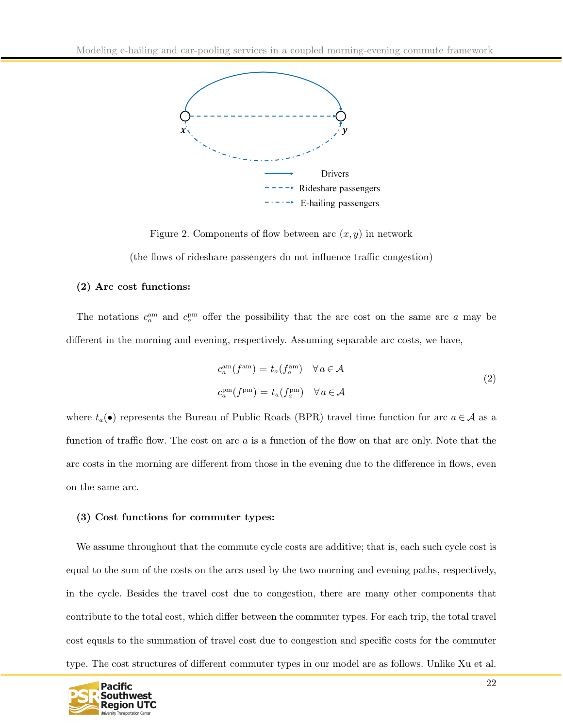

Figure 2. Components of flow between arc  $(x, y)$  in network

(the flows of rideshare passengers do not influence traffic congestion)

### (2) Arc cost functions:

The notations  $c_a^{\text{am}}$  and  $c_a^{\text{pm}}$  offer the possibility that the arc cost on the same arc a may be different in the morning and evening, respectively. Assuming separable arc costs, we have,

$$
c_a^{\text{am}}(f^{\text{am}}) = t_a(f_a^{\text{am}}) \quad \forall a \in \mathcal{A}
$$
  
\n
$$
c_a^{\text{pm}}(f^{\text{pm}}) = t_a(f_a^{\text{pm}}) \quad \forall a \in \mathcal{A}
$$
\n(2)

where  $t_a(\bullet)$  represents the Bureau of Public Roads (BPR) travel time function for arc  $a \in \mathcal{A}$  as a function of traffic flow. The cost on arc a is a function of the flow on that arc only. Note that the arc costs in the morning are different from those in the evening due to the difference in flows, even on the same arc.

#### (3) Cost functions for commuter types:

We assume throughout that the commute cycle costs are additive; that is, each such cycle cost is equal to the sum of the costs on the arcs used by the two morning and evening paths, respectively, in the cycle. Besides the travel cost due to congestion, there are many other components that contribute to the total cost, which differ between the commuter types. For each trip, the total travel cost equals to the summation of travel cost due to congestion and specific costs for the commuter type. The cost structures of different commuter types in our model are as follows. Unlike Xu et al.

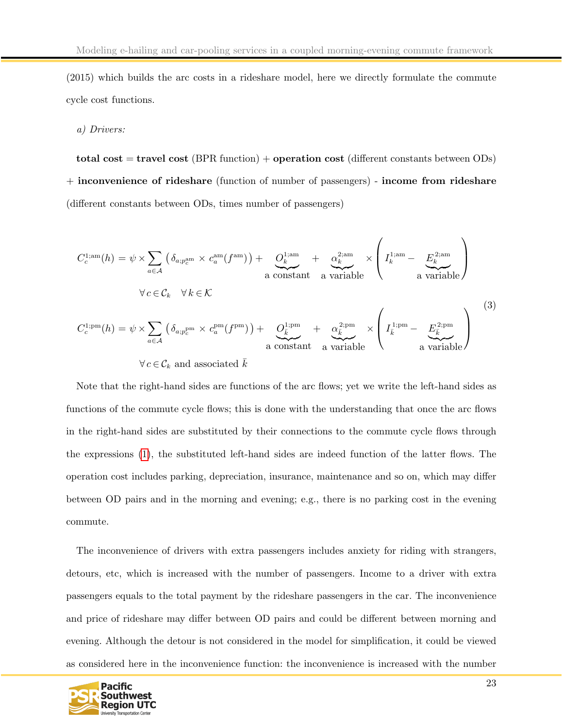(2015) which builds the arc costs in a rideshare model, here we directly formulate the commute cycle cost functions.

#### a) Drivers:

total cost  $=$  travel cost (BPR function)  $+$  operation cost (different constants between ODs) + inconvenience of rideshare (function of number of passengers) - income from rideshare (different constants between ODs, times number of passengers)

$$
C_c^{1;am}(h) = \psi \times \sum_{a \in \mathcal{A}} \left( \delta_{a;p_c^{\text{am}}} \times c_a^{\text{am}}(f^{\text{am}}) \right) + \underbrace{O_k^{1; \text{am}}}_{\text{a constant}} + \underbrace{\alpha_k^{2; \text{am}}}_{\text{a variable}} \times \left( I_k^{1; \text{am}} - \underbrace{E_k^{2; \text{am}}}_{\text{a variable}} \right)
$$
\n
$$
\forall c \in \mathcal{C}_k \quad \forall k \in \mathcal{K}
$$
\n
$$
C_c^{1; \text{pm}}(h) = \psi \times \sum_{a \in \mathcal{A}} \left( \delta_{a;p_c^{\text{pm}}} \times c_a^{\text{pm}}(f^{\text{pm}}) \right) + \underbrace{O_k^{1; \text{pm}}}_{\text{a constant}} + \underbrace{\alpha_k^{2; \text{pm}}}_{\text{a variable}} \times \left( I_k^{1; \text{pm}} - \underbrace{E_k^{2; \text{pm}}}_{\text{a variable}} \right)
$$
\n
$$
\forall c \in \mathcal{C}_k \text{ and associated } \bar{k}
$$
\n(3)

Note that the right-hand sides are functions of the arc flows; yet we write the left-hand sides as functions of the commute cycle flows; this is done with the understanding that once the arc flows in the right-hand sides are substituted by their connections to the commute cycle flows through the expressions [\(1\)](#page-21-1), the substituted left-hand sides are indeed function of the latter flows. The operation cost includes parking, depreciation, insurance, maintenance and so on, which may differ between OD pairs and in the morning and evening; e.g., there is no parking cost in the evening commute.

The inconvenience of drivers with extra passengers includes anxiety for riding with strangers, detours, etc, which is increased with the number of passengers. Income to a driver with extra passengers equals to the total payment by the rideshare passengers in the car. The inconvenience and price of rideshare may differ between OD pairs and could be different between morning and evening. Although the detour is not considered in the model for simplification, it could be viewed as considered here in the inconvenience function: the inconvenience is increased with the number

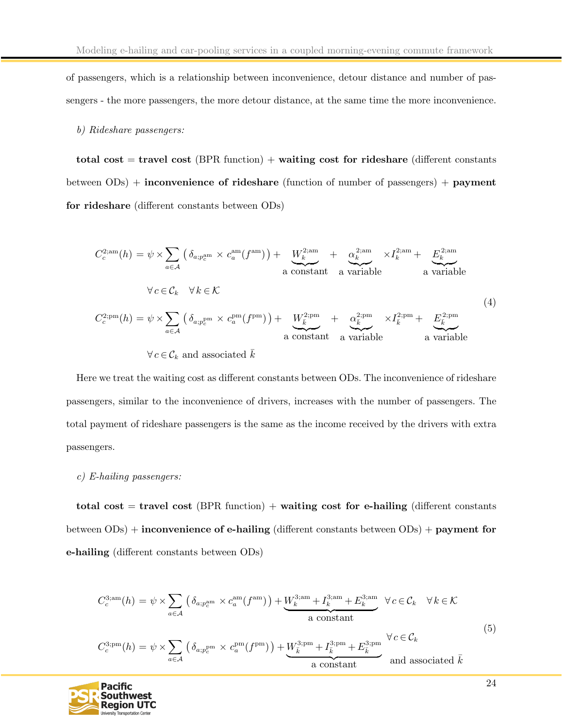of passengers, which is a relationship between inconvenience, detour distance and number of passengers - the more passengers, the more detour distance, at the same time the more inconvenience.

#### b) Rideshare passengers:

total cost  $=$  travel cost (BPR function)  $+$  waiting cost for rideshare (different constants between ODs) + inconvenience of rideshare (function of number of passengers) + payment for rideshare (different constants between ODs)

$$
C_c^{2;am}(h) = \psi \times \sum_{a \in \mathcal{A}} \left( \delta_{a;p_c^{am}} \times c_a^{am}(f^{am}) \right) + \underbrace{W_k^{2;am}}_{\text{a constant}} + \underbrace{\alpha_k^{2;am}}_{\text{a variable}} \times I_k^{2;am} + \underbrace{E_k^{2;am}}_{\text{a variable}}
$$
\n
$$
\forall c \in \mathcal{C}_k \quad \forall k \in \mathcal{K}
$$
\n
$$
C_c^{2;pm}(h) = \psi \times \sum_{a \in \mathcal{A}} \left( \delta_{a;p_c^{pm}} \times c_a^{pm}(f^{pm}) \right) + \underbrace{W_k^{2;pm}}_{\text{a constant}} + \underbrace{\alpha_k^{2;pm}}_{\text{a variable}} \times I_k^{2;pm} + \underbrace{E_k^{2;am}}_{\text{a variable}}
$$
\n
$$
(4)
$$

 $\forall c \in \mathcal{C}_k$  and associated  $\overline{k}$ 

Here we treat the waiting cost as different constants between ODs. The inconvenience of rideshare passengers, similar to the inconvenience of drivers, increases with the number of passengers. The total payment of rideshare passengers is the same as the income received by the drivers with extra passengers.

#### c) E-hailing passengers:

total cost = travel cost (BPR function) + waiting cost for e-hailing (different constants between ODs) + inconvenience of e-hailing (different constants between ODs) + payment for e-hailing (different constants between ODs)

$$
C_c^{3;am}(h) = \psi \times \sum_{a \in \mathcal{A}} \left( \delta_{a;p_c^{\text{am}}} \times c_a^{\text{am}}(f^{\text{am}}) \right) + \underbrace{W_k^{3;am} + I_k^{3;am} + E_k^{3;am}}_{\text{a constant}} \forall c \in \mathcal{C}_k \quad \forall k \in \mathcal{K}
$$
  

$$
C_c^{3;pm}(h) = \psi \times \sum_{a \in \mathcal{A}} \left( \delta_{a;p_c^{\text{pm}}} \times c_a^{\text{pm}}(f^{\text{pm}}) \right) + \underbrace{W_k^{3;pm} + I_k^{3;pm} + E_k^{3;pm}}_{\text{a constant}} \qquad \forall c \in \mathcal{C}_k
$$
  
(5)

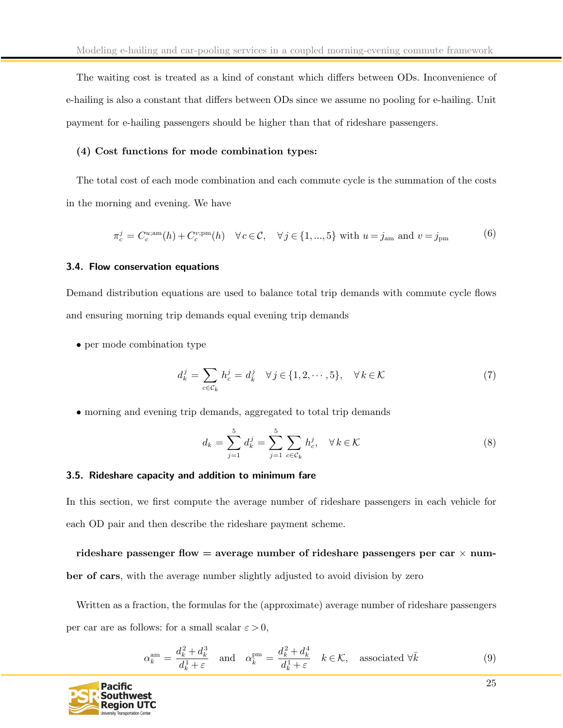The waiting cost is treated as a kind of constant which differs between ODs. Inconvenience of e-hailing is also a constant that differs between ODs since we assume no pooling for e-hailing. Unit payment for e-hailing passengers should be higher than that of rideshare passengers.

#### (4) Cost functions for mode combination types:

The total cost of each mode combination and each commute cycle is the summation of the costs in the morning and evening. We have

$$
\pi_c^j = C_c^{\mu, \text{am}}(h) + C_c^{\nu; \text{pm}}(h) \quad \forall c \in \mathcal{C}, \quad \forall j \in \{1, ..., 5\} \text{ with } u = j_{\text{am}} \text{ and } v = j_{\text{pm}}
$$
 (6)

#### <span id="page-25-0"></span>3.4. Flow conservation equations

Demand distribution equations are used to balance total trip demands with commute cycle flows and ensuring morning trip demands equal evening trip demands

• per mode combination type

$$
d_k^j = \sum_{c \in \mathcal{C}_k} h_c^j = d_k^j \quad \forall j \in \{1, 2, \cdots, 5\}, \quad \forall k \in \mathcal{K}
$$
 (7)

• morning and evening trip demands, aggregated to total trip demands

$$
d_k = \sum_{j=1}^{5} d_k^j = \sum_{j=1}^{5} \sum_{c \in \mathcal{C}_k} h_c^j, \quad \forall k \in \mathcal{K}
$$
 (8)

### <span id="page-25-1"></span>3.5. Rideshare capacity and addition to minimum fare

In this section, we first compute the average number of rideshare passengers in each vehicle for each OD pair and then describe the rideshare payment scheme.

rideshare passenger flow  $=$  average number of rideshare passengers per car  $\times$  number of cars, with the average number slightly adjusted to avoid division by zero

Written as a fraction, the formulas for the (approximate) average number of rideshare passengers per car are as follows: for a small scalar  $\varepsilon > 0$ ,

$$
\alpha_k^{\text{am}} = \frac{d_k^2 + d_k^3}{d_k^1 + \varepsilon} \quad \text{and} \quad \alpha_{\bar{k}}^{\text{pm}} = \frac{d_k^2 + d_k^4}{d_k^1 + \varepsilon} \quad k \in \mathcal{K}, \quad \text{associated } \forall \bar{k} \tag{9}
$$

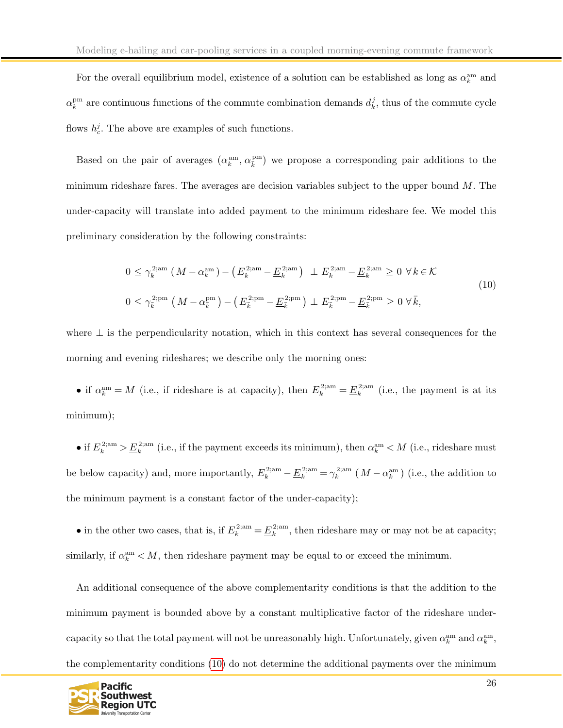For the overall equilibrium model, existence of a solution can be established as long as  $\alpha_k^{\text{am}}$  and  $\alpha_k^{\text{pm}}$  are continuous functions of the commute combination demands  $d_k^j$ , thus of the commute cycle flows  $h_c^j$ . The above are examples of such functions.

Based on the pair of averages  $(\alpha_k^{\text{am}}, \alpha_k^{\text{pm}})$  we propose a corresponding pair additions to the minimum rideshare fares. The averages are decision variables subject to the upper bound  $M$ . The under-capacity will translate into added payment to the minimum rideshare fee. We model this preliminary consideration by the following constraints:

<span id="page-26-0"></span>
$$
0 \le \gamma_k^{2; \text{am}} \left( M - \alpha_k^{\text{am}} \right) - \left( E_k^{2; \text{am}} - \underline{E}_k^{2; \text{am}} \right) \perp E_k^{2; \text{am}} - \underline{E}_k^{2; \text{am}} \ge 0 \ \forall k \in \mathcal{K}
$$
  

$$
0 \le \gamma_{\bar{k}}^{2; \text{pm}} \left( M - \alpha_{\bar{k}}^{\text{pm}} \right) - \left( E_{\bar{k}}^{2; \text{pm}} - \underline{E}_{\bar{k}}^{2; \text{pm}} \right) \perp E_{\bar{k}}^{2; \text{pm}} - \underline{E}_{\bar{k}}^{2; \text{pm}} \ge 0 \ \forall \bar{k}, \tag{10}
$$

where  $\perp$  is the perpendicularity notation, which in this context has several consequences for the morning and evening rideshares; we describe only the morning ones:

• if  $\alpha_k^{\text{am}} = M$  (i.e., if rideshare is at capacity), then  $E_k^{2;\text{am}} = \underline{E}_k^{2;\text{am}}$  (i.e., the payment is at its minimum);

• if  $E_k^{2;am} > \underline{E}_k^{2;am}$  (i.e., if the payment exceeds its minimum), then  $\alpha_k^{am} < M$  (i.e., rideshare must be below capacity) and, more importantly,  $E_k^{2;am} - \underline{E}_k^{2;am} = \gamma_k^{2;am} (M - \alpha_k^{am})$  (i.e., the addition to the minimum payment is a constant factor of the under-capacity);

• in the other two cases, that is, if  $E_k^{2;am} = \underline{E}_k^{2;am}$ , then rideshare may or may not be at capacity; similarly, if  $\alpha_k^{\text{am}} < M$ , then rideshare payment may be equal to or exceed the minimum.

An additional consequence of the above complementarity conditions is that the addition to the minimum payment is bounded above by a constant multiplicative factor of the rideshare undercapacity so that the total payment will not be unreasonably high. Unfortunately, given  $\alpha_k^{\text{am}}$  and  $\alpha_k^{\text{am}}$ , the complementarity conditions [\(10\)](#page-26-0) do not determine the additional payments over the minimum

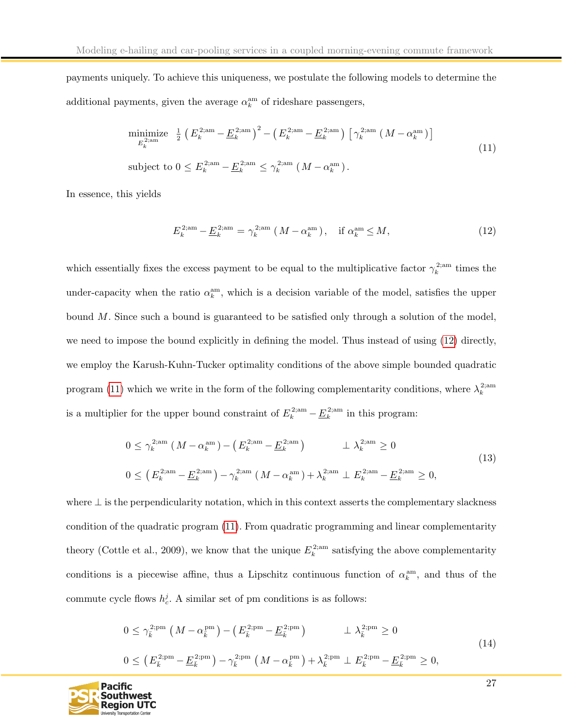payments uniquely. To achieve this uniqueness, we postulate the following models to determine the additional payments, given the average  $\alpha_k^{\text{am}}$  of rideshare passengers,

<span id="page-27-1"></span>
$$
\begin{aligned}\n&\text{minimize}_{E_k^{2;\text{am}}} \quad \frac{1}{2} \left( E_k^{2;\text{am}} - \underline{E}_k^{2;\text{am}} \right)^2 - \left( E_k^{2;\text{am}} - \underline{E}_k^{2;\text{am}} \right) \left[ \gamma_k^{2;\text{am}} \left( M - \alpha_k^{\text{am}} \right) \right] \\
&\text{subject to } 0 \le E_k^{2;\text{am}} - \underline{E}_k^{2;\text{am}} \le \gamma_k^{2;\text{am}} \left( M - \alpha_k^{\text{am}} \right).\n\end{aligned} \tag{11}
$$

In essence, this yields

<span id="page-27-0"></span>
$$
E_k^{2;\text{am}} - \underline{E}_k^{2;\text{am}} = \gamma_k^{2;\text{am}} \left( M - \alpha_k^{\text{am}} \right), \quad \text{if } \alpha_k^{\text{am}} \le M,\tag{12}
$$

which essentially fixes the excess payment to be equal to the multiplicative factor  $\gamma_k^{2;am}$  times the under-capacity when the ratio  $\alpha_k^{\text{am}}$ , which is a decision variable of the model, satisfies the upper bound M. Since such a bound is guaranteed to be satisfied only through a solution of the model, we need to impose the bound explicitly in defining the model. Thus instead of using [\(12\)](#page-27-0) directly, we employ the Karush-Kuhn-Tucker optimality conditions of the above simple bounded quadratic program [\(11\)](#page-27-1) which we write in the form of the following complementarity conditions, where  $\lambda_k^{\text{2;am}}$ is a multiplier for the upper bound constraint of  $E_k^{2;am} - \underline{E}_k^{2;am}$  in this program:

$$
0 \le \gamma_k^{2;\text{am}} \left( M - \alpha_k^{\text{am}} \right) - \left( E_k^{2;\text{am}} - \underline{E}_k^{2;\text{am}} \right) \qquad \perp \lambda_k^{2;\text{am}} \ge 0
$$
  

$$
0 \le \left( E_k^{2;\text{am}} - \underline{E}_k^{2;\text{am}} \right) - \gamma_k^{2;\text{am}} \left( M - \alpha_k^{\text{am}} \right) + \lambda_k^{2;\text{am}} \perp E_k^{2;\text{am}} - \underline{E}_k^{2;\text{am}} \ge 0,
$$
 (13)

where  $\perp$  is the perpendicularity notation, which in this context asserts the complementary slackness condition of the quadratic program [\(11\)](#page-27-1). From quadratic programming and linear complementarity theory (Cottle et al., 2009), we know that the unique  $E_k^{\text{2;am}}$  satisfying the above complementarity conditions is a piecewise affine, thus a Lipschitz continuous function of  $\alpha_k^{\text{am}}$ , and thus of the commute cycle flows  $h_c^j$ . A similar set of pm conditions is as follows:

$$
0 \le \gamma_{\bar{k}}^{2;\text{pm}} \left( M - \alpha_{\bar{k}}^{\text{pm}} \right) - \left( E_{\bar{k}}^{2;\text{pm}} - \underline{E}_{\bar{k}}^{2;\text{pm}} \right) \qquad \perp \lambda_{\bar{k}}^{2;\text{pm}} \ge 0
$$
  

$$
0 \le \left( E_{\bar{k}}^{2;\text{pm}} - \underline{E}_{\bar{k}}^{2;\text{pm}} \right) - \gamma_{\bar{k}}^{2;\text{pm}} \left( M - \alpha_{\bar{k}}^{\text{pm}} \right) + \lambda_{\bar{k}}^{2;\text{pm}} \perp E_{\bar{k}}^{2;\text{pm}} - \underline{E}_{\bar{k}}^{2;\text{pm}} \ge 0,
$$
\n(14)

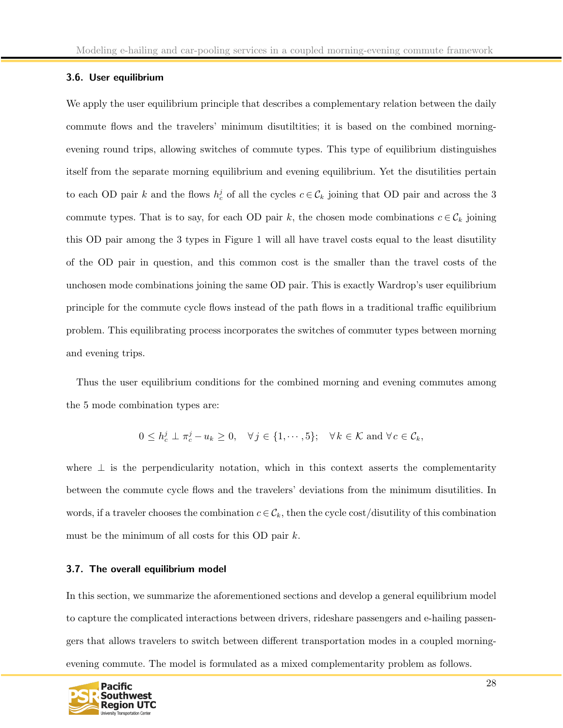#### <span id="page-28-0"></span>3.6. User equilibrium

We apply the user equilibrium principle that describes a complementary relation between the daily commute flows and the travelers' minimum disutiltities; it is based on the combined morningevening round trips, allowing switches of commute types. This type of equilibrium distinguishes itself from the separate morning equilibrium and evening equilibrium. Yet the disutilities pertain to each OD pair k and the flows  $h_c^j$  of all the cycles  $c \in C_k$  joining that OD pair and across the 3 commute types. That is to say, for each OD pair k, the chosen mode combinations  $c \in \mathcal{C}_k$  joining this OD pair among the 3 types in Figure 1 will all have travel costs equal to the least disutility of the OD pair in question, and this common cost is the smaller than the travel costs of the unchosen mode combinations joining the same OD pair. This is exactly Wardrop's user equilibrium principle for the commute cycle flows instead of the path flows in a traditional traffic equilibrium problem. This equilibrating process incorporates the switches of commuter types between morning and evening trips.

Thus the user equilibrium conditions for the combined morning and evening commutes among the 5 mode combination types are:

$$
0 \le h_c^j \perp \pi_c^j - u_k \ge 0, \quad \forall j \in \{1, \cdots, 5\}; \quad \forall k \in \mathcal{K} \text{ and } \forall c \in \mathcal{C}_k,
$$

where  $\perp$  is the perpendicularity notation, which in this context asserts the complementarity between the commute cycle flows and the travelers' deviations from the minimum disutilities. In words, if a traveler chooses the combination  $c \in \mathcal{C}_k$ , then the cycle cost/disutility of this combination must be the minimum of all costs for this OD pair  $k$ .

#### <span id="page-28-1"></span>3.7. The overall equilibrium model

In this section, we summarize the aforementioned sections and develop a general equilibrium model to capture the complicated interactions between drivers, rideshare passengers and e-hailing passengers that allows travelers to switch between different transportation modes in a coupled morningevening commute. The model is formulated as a mixed complementarity problem as follows.

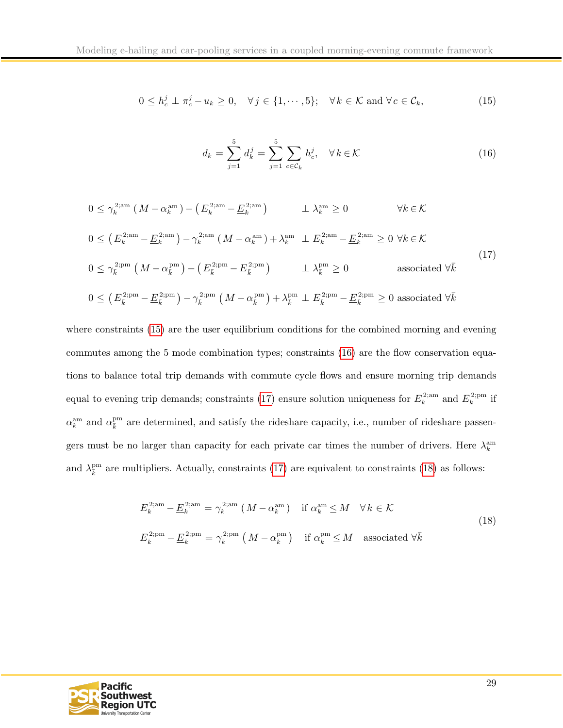<span id="page-29-0"></span>
$$
0 \le h_c^j \perp \pi_c^j - u_k \ge 0, \quad \forall j \in \{1, \cdots, 5\}; \quad \forall k \in \mathcal{K} \text{ and } \forall c \in \mathcal{C}_k,
$$
\n
$$
(15)
$$

<span id="page-29-1"></span>
$$
d_k = \sum_{j=1}^{5} d_k^j = \sum_{j=1}^{5} \sum_{c \in \mathcal{C}_k} h_c^j, \quad \forall k \in \mathcal{K}
$$
 (16)

<span id="page-29-2"></span>
$$
0 \leq \gamma_k^{2;\text{am}} \left( M - \alpha_k^{\text{am}} \right) - \left( E_k^{2;\text{am}} - \underline{E}_k^{2;\text{am}} \right) \qquad \perp \lambda_k^{\text{am}} \geq 0 \qquad \forall k \in \mathcal{K}
$$
  
\n
$$
0 \leq \left( E_k^{2;\text{am}} - \underline{E}_k^{2;\text{am}} \right) - \gamma_k^{2;\text{am}} \left( M - \alpha_k^{\text{am}} \right) + \lambda_k^{\text{am}} \perp E_k^{2;\text{am}} - \underline{E}_k^{2;\text{am}} \geq 0 \ \forall k \in \mathcal{K}
$$
  
\n
$$
0 \leq \gamma_k^{2;\text{pm}} \left( M - \alpha_k^{\text{pm}} \right) - \left( E_k^{2;\text{pm}} - \underline{E}_k^{2;\text{pm}} \right) \qquad \perp \lambda_k^{\text{pm}} \geq 0 \qquad \text{associated } \forall \bar{k}
$$
  
\n
$$
0 \leq \left( E_k^{2;\text{pm}} - \underline{E}_k^{2;\text{pm}} \right) - \gamma_k^{2;\text{pm}} \left( M - \alpha_k^{\text{pm}} \right) + \lambda_k^{\text{pm}} \perp E_k^{2;\text{pm}} - \underline{E}_k^{2;\text{pm}} \geq 0 \qquad \text{associated } \forall \bar{k}
$$
  
\n(17)

where constraints [\(15\)](#page-29-0) are the user equilibrium conditions for the combined morning and evening commutes among the 5 mode combination types; constraints [\(16\)](#page-29-1) are the flow conservation equations to balance total trip demands with commute cycle flows and ensure morning trip demands equal to evening trip demands; constraints [\(17\)](#page-29-2) ensure solution uniqueness for  $E_k^{\text{2;am}}$  and  $E_k^{\text{2;pm}}$  if  $\alpha_k^{\text{am}}$  and  $\alpha_{\overline{k}}^{\text{pm}}$  are determined, and satisfy the rideshare capacity, i.e., number of rideshare passengers must be no larger than capacity for each private car times the number of drivers. Here  $\lambda_k^{\text{am}}$ and  $\lambda_{\bar{k}}^{\text{pm}}$  are multipliers. Actually, constraints [\(17\)](#page-29-2) are equivalent to constraints [\(18\)](#page-29-3) as follows:

<span id="page-29-3"></span>
$$
E_k^{2;am} - \underline{E}_k^{2;am} = \gamma_k^{2;am} \left( M - \alpha_k^{am} \right) \quad \text{if } \alpha_k^{am} \le M \quad \forall k \in \mathcal{K}
$$
  

$$
E_{\bar{k}}^{2;pm} - \underline{E}_{\bar{k}}^{2;pm} = \gamma_{\bar{k}}^{2;pm} \left( M - \alpha_{\bar{k}}^{pm} \right) \quad \text{if } \alpha_{\bar{k}}^{pm} \le M \quad \text{associated } \forall \bar{k}
$$
  
(18)

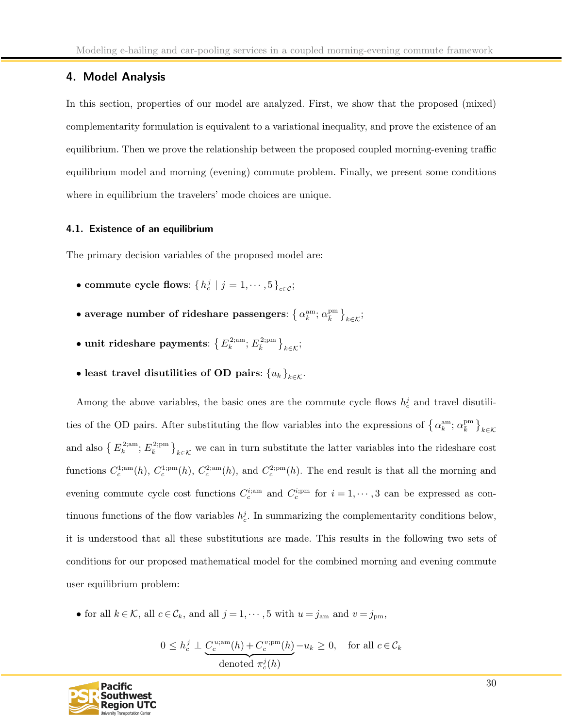# <span id="page-30-0"></span>4. Model Analysis

In this section, properties of our model are analyzed. First, we show that the proposed (mixed) complementarity formulation is equivalent to a variational inequality, and prove the existence of an equilibrium. Then we prove the relationship between the proposed coupled morning-evening traffic equilibrium model and morning (evening) commute problem. Finally, we present some conditions where in equilibrium the travelers' mode choices are unique.

#### <span id="page-30-1"></span>4.1. Existence of an equilibrium

The primary decision variables of the proposed model are:

- commute cycle flows:  $\{h_c^j \mid j = 1, \cdots, 5\}_{c \in \mathcal{C}};$
- $\bullet$  average number of rideshare passengers:  $\left\{\alpha^{\rm am}_{k};\alpha^{\rm pm}_{\bar{k}}\right\}_{k\in\mathcal{K}};$
- $\bullet$  unit rideshare payments:  $\left\{\,E_{k}^{\,2; \text{am}}; \,E_{\bar{k}}^{\,2; \text{pm}}\,\right\}_{k \in \mathcal{K}};$
- least travel disutilities of OD pairs:  ${u_k}_{k \in \mathcal{K}}$ .

Among the above variables, the basic ones are the commute cycle flows  $h_c^j$  and travel disutilities of the OD pairs. After substituting the flow variables into the expressions of  $\{\alpha_k^{\text{am}}; \alpha_{\overline{k}}^{\text{pm}}\}_{k \in \mathcal{K}}$ and also  $\{E_k^{\text{2;am}}; E_{\bar{k}}^{\text{2;pm}}\}_{k\in\mathcal{K}}$  we can in turn substitute the latter variables into the rideshare cost functions  $C_c^{1;am}(h)$ ,  $C_c^{1;pm}(h)$ ,  $C_c^{2;am}(h)$ , and  $C_c^{2;pm}(h)$ . The end result is that all the morning and evening commute cycle cost functions  $C_c^{i;nm}$  and  $C_c^{i;pm}$  for  $i = 1, \dots, 3$  can be expressed as continuous functions of the flow variables  $h_c^j$ . In summarizing the complementarity conditions below, it is understood that all these substitutions are made. This results in the following two sets of conditions for our proposed mathematical model for the combined morning and evening commute user equilibrium problem:

• for all  $k \in \mathcal{K}$ , all  $c \in \mathcal{C}_k$ , and all  $j = 1, \dots, 5$  with  $u = j_{\text{am}}$  and  $v = j_{\text{pm}}$ ,

$$
0 \le h_c^j \perp \underbrace{C_c^{u; \text{am}}(h) + C_c^{v; \text{pm}}(h)}_{\text{denoted }\pi_c^j(h)} - u_k \ge 0, \quad \text{for all } c \in \mathcal{C}_k
$$

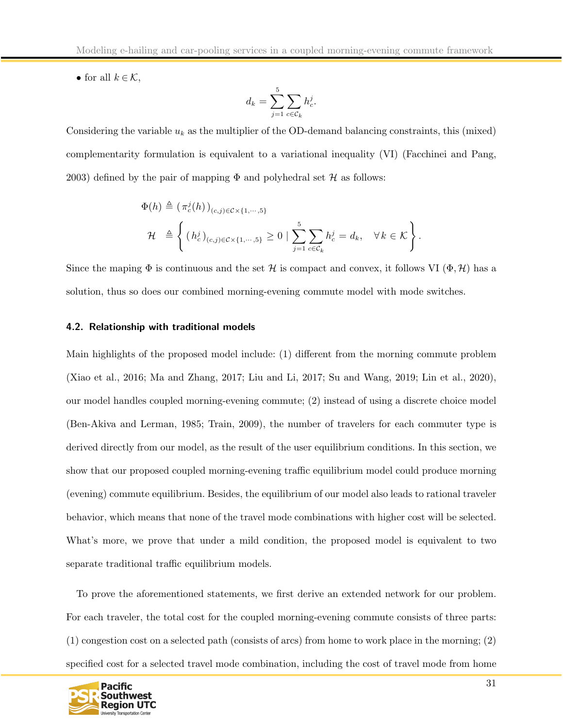• for all  $k \in \mathcal{K}$ ,

$$
d_k = \sum_{j=1}^5 \sum_{c \in \mathcal{C}_k} h_c^j.
$$

Considering the variable  $u_k$  as the multiplier of the OD-demand balancing constraints, this (mixed) complementarity formulation is equivalent to a variational inequality (VI) (Facchinei and Pang, 2003) defined by the pair of mapping  $\Phi$  and polyhedral set  $\mathcal H$  as follows:

$$
\Phi(h) \triangleq (\pi_c^j(h))_{(c,j)\in C\times\{1,\cdots,5\}}
$$
  

$$
\mathcal{H} \triangleq \left\{ (h_c^j)_{(c,j)\in C\times\{1,\cdots,5\}} \ge 0 \mid \sum_{j=1}^5 \sum_{c\in C_k} h_c^j = d_k, \quad \forall k \in \mathcal{K} \right\}.
$$

Since the maping  $\Phi$  is continuous and the set H is compact and convex, it follows VI  $(\Phi, \mathcal{H})$  has a solution, thus so does our combined morning-evening commute model with mode switches.

#### <span id="page-31-0"></span>4.2. Relationship with traditional models

Main highlights of the proposed model include: (1) different from the morning commute problem (Xiao et al., 2016; Ma and Zhang, 2017; Liu and Li, 2017; Su and Wang, 2019; Lin et al., 2020), our model handles coupled morning-evening commute; (2) instead of using a discrete choice model (Ben-Akiva and Lerman, 1985; Train, 2009), the number of travelers for each commuter type is derived directly from our model, as the result of the user equilibrium conditions. In this section, we show that our proposed coupled morning-evening traffic equilibrium model could produce morning (evening) commute equilibrium. Besides, the equilibrium of our model also leads to rational traveler behavior, which means that none of the travel mode combinations with higher cost will be selected. What's more, we prove that under a mild condition, the proposed model is equivalent to two separate traditional traffic equilibrium models.

To prove the aforementioned statements, we first derive an extended network for our problem. For each traveler, the total cost for the coupled morning-evening commute consists of three parts: (1) congestion cost on a selected path (consists of arcs) from home to work place in the morning; (2) specified cost for a selected travel mode combination, including the cost of travel mode from home

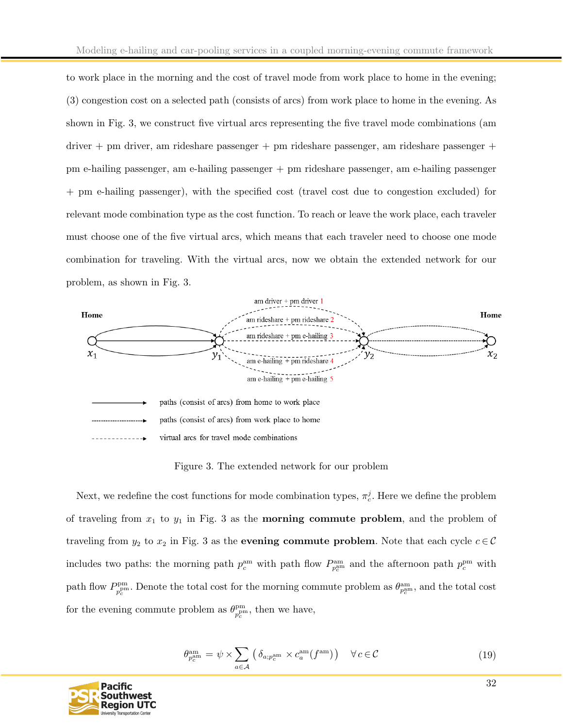to work place in the morning and the cost of travel mode from work place to home in the evening; (3) congestion cost on a selected path (consists of arcs) from work place to home in the evening. As shown in Fig. 3, we construct five virtual arcs representing the five travel mode combinations (am driver + pm driver, am rideshare passenger + pm rideshare passenger, am rideshare passenger + pm e-hailing passenger, am e-hailing passenger + pm rideshare passenger, am e-hailing passenger + pm e-hailing passenger), with the specified cost (travel cost due to congestion excluded) for relevant mode combination type as the cost function. To reach or leave the work place, each traveler must choose one of the five virtual arcs, which means that each traveler need to choose one mode combination for traveling. With the virtual arcs, now we obtain the extended network for our problem, as shown in Fig. 3.



Figure 3. The extended network for our problem

Next, we redefine the cost functions for mode combination types,  $\pi_c^j$ . Here we define the problem of traveling from  $x_1$  to  $y_1$  in Fig. 3 as the **morning commute problem**, and the problem of traveling from  $y_2$  to  $x_2$  in Fig. 3 as the **evening commute problem**. Note that each cycle  $c \in \mathcal{C}$ includes two paths: the morning path  $p_c^{\text{am}}$  with path flow  $P_{p_c^{\text{am}}}^{\text{am}}$  and the afternoon path  $p_c^{\text{pm}}$  with path flow  $P_{\rm pnm}^{\rm pm}$  $p_c^{\text{pm}}$ . Denote the total cost for the morning commute problem as  $\theta_{p_c^{\text{am}}}^{\text{am}}$ , and the total cost for the evening commute problem as  $\theta_{\text{p}^{\text{p}^{\text{m}}}}^{\text{p}^{\text{m}}}$  $p_c^{\text{pm}}$ , then we have,

$$
\theta_{p_c^{\text{am}}}^{\text{am}} = \psi \times \sum_{a \in \mathcal{A}} \left( \delta_{a; p_c^{\text{am}}} \times c_a^{\text{am}}(f^{\text{am}}) \right) \quad \forall c \in \mathcal{C}
$$
\n(19)

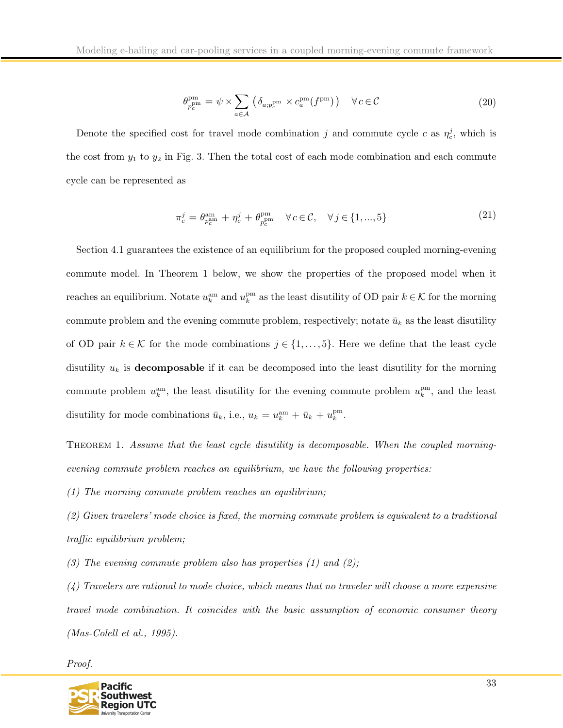$$
\theta_{p_c^{\rm pm}}^{\rm pm} = \psi \times \sum_{a \in \mathcal{A}} \left( \delta_{a; p_c^{\rm pm}} \times c_a^{\rm pm}(f^{\rm pm}) \right) \quad \forall c \in \mathcal{C}
$$
\n(20)

Denote the specified cost for travel mode combination j and commute cycle c as  $\eta_c^j$ , which is the cost from  $y_1$  to  $y_2$  in Fig. 3. Then the total cost of each mode combination and each commute cycle can be represented as

$$
\pi_c^j = \theta_{p_c^{\text{am}}}^{\text{am}} + \eta_c^j + \theta_{p_c^{\text{pm}}}^{\text{pm}} \quad \forall c \in \mathcal{C}, \quad \forall j \in \{1, ..., 5\}
$$
\n(21)

Section 4.1 guarantees the existence of an equilibrium for the proposed coupled morning-evening commute model. In Theorem 1 below, we show the properties of the proposed model when it reaches an equilibrium. Notate  $u_k^{\text{am}}$  and  $u_k^{\text{pm}}$  as the least disutility of OD pair  $k \in K$  for the morning commute problem and the evening commute problem, respectively; notate  $\bar{u}_k$  as the least disutility of OD pair  $k \in \mathcal{K}$  for the mode combinations  $j \in \{1, \ldots, 5\}$ . Here we define that the least cycle disutility  $u_k$  is **decomposable** if it can be decomposed into the least disutility for the morning commute problem  $u_k^{\text{am}}$ , the least disutility for the evening commute problem  $u_k^{\text{pm}}$ , and the least disutility for mode combinations  $\bar{u}_k$ , i.e.,  $u_k = u_k^{\text{am}} + \bar{u}_k + u_k^{\text{pm}}$ .

THEOREM 1. Assume that the least cycle disutility is decomposable. When the coupled morningevening commute problem reaches an equilibrium, we have the following properties:

(1) The morning commute problem reaches an equilibrium;

(2) Given travelers' mode choice is fixed, the morning commute problem is equivalent to a traditional traffic equilibrium problem;

(3) The evening commute problem also has properties  $(1)$  and  $(2)$ ;

 $(4)$  Travelers are rational to mode choice, which means that no traveler will choose a more expensive travel mode combination. It coincides with the basic assumption of economic consumer theory (Mas-Colell et al., 1995).

Proof.

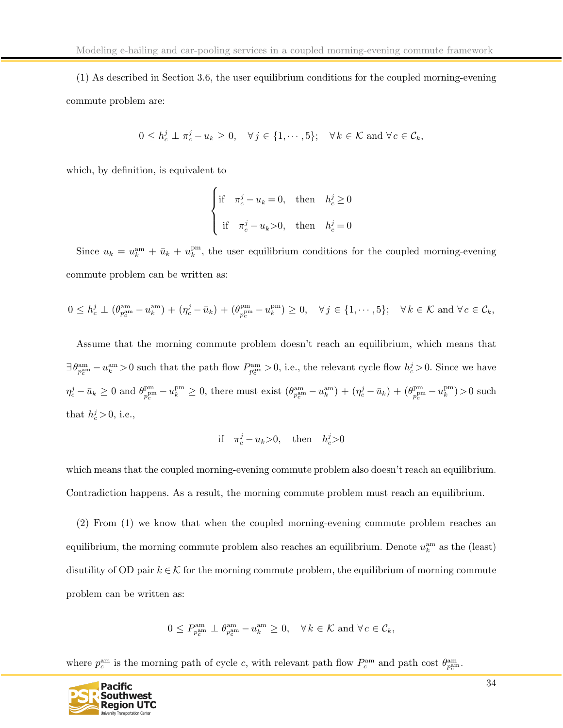(1) As described in Section 3.6, the user equilibrium conditions for the coupled morning-evening commute problem are:

$$
0 \le h_c^j \perp \pi_c^j - u_k \ge 0, \quad \forall j \in \{1, \cdots, 5\}; \quad \forall k \in \mathcal{K} \text{ and } \forall c \in \mathcal{C}_k,
$$

which, by definition, is equivalent to

$$
\begin{cases} \text{if} & \pi_c^j - u_k = 0, \text{ then } h_c^j \ge 0 \\ & \text{if } \pi_c^j - u_k > 0, \text{ then } h_c^j = 0 \end{cases}
$$

Since  $u_k = u_k^{\text{am}} + \bar{u}_k + u_k^{\text{pm}}$ , the user equilibrium conditions for the coupled morning-evening commute problem can be written as:

$$
0 \leq h_c^j \perp (\theta_{p_c^{\text{am}}}^{\text{am}} - u_k^{\text{am}}) + (\eta_c^j - \bar{u}_k) + (\theta_{p_c^{\text{pm}}}^{\text{pm}} - u_k^{\text{pm}}) \geq 0, \quad \forall j \in \{1, \cdots, 5\}; \quad \forall k \in \mathcal{K} \text{ and } \forall c \in \mathcal{C}_k,
$$

Assume that the morning commute problem doesn't reach an equilibrium, which means that  $\exists \theta_{p_c^{\text{am}}}^{\text{am}} - u_k^{\text{am}} > 0$  such that the path flow  $P_{p_c^{\text{am}}}^{\text{am}} > 0$ , i.e., the relevant cycle flow  $h_c^j > 0$ . Since we have  $\eta_c^j - \bar{u}_k \geq 0$  and  $\theta_{p_c^{\text{pm}}}^{\text{pm}}$  $p_c^{\text{pm}} - u_k^{\text{pm}} \geq 0$ , there must exist  $(\theta_{p_c^{\text{am}}}^{\text{am}} - u_k^{\text{am}}) + (\eta_c^j - \bar{u}_k) + (\theta_{p_c^{\text{pm}}}^{\text{pm}})$  $v_{c}^{\text{pm}} - u_{k}^{\text{pm}}$ ) > 0 such that  $h_c^j > 0$ , i.e.,

if 
$$
\pi_c^j - u_k > 0
$$
, then  $h_c^j > 0$ 

which means that the coupled morning-evening commute problem also doesn't reach an equilibrium. Contradiction happens. As a result, the morning commute problem must reach an equilibrium.

(2) From (1) we know that when the coupled morning-evening commute problem reaches an equilibrium, the morning commute problem also reaches an equilibrium. Denote  $u_k^{\text{am}}$  as the (least) disutility of OD pair  $k \in \mathcal{K}$  for the morning commute problem, the equilibrium of morning commute problem can be written as:

 $0 \le P_{p_c^{\text{am}}}^{\text{am}} \perp \theta_{p_c^{\text{am}}}^{\text{am}} - u_k^{\text{am}} \ge 0, \quad \forall k \in \mathcal{K} \text{ and } \forall c \in \mathcal{C}_k,$ 

where  $p_c^{\text{am}}$  is the morning path of cycle c, with relevant path flow  $P_c^{\text{am}}$  and path cost  $\theta_{p_c^{\text{am}}}^{\text{am}}$ .

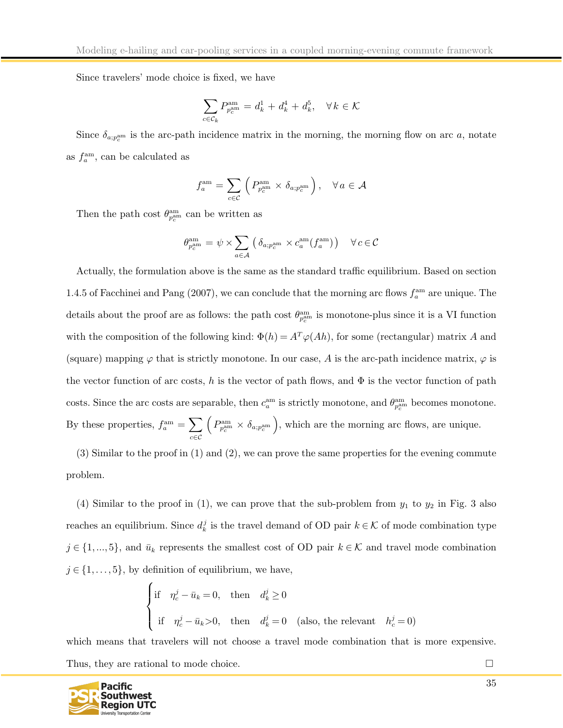Since travelers' mode choice is fixed, we have

$$
\sum_{c\in\mathcal{C}_k}P_{p_c^{\rm am}}^{\rm am}=d_k^1+d_k^4+d_k^5,\quad \forall\,k\in\mathcal{K}
$$

Since  $\delta_{a;p_c^{\text{am}}}$  is the arc-path incidence matrix in the morning, the morning flow on arc a, notate as  $f_a^{\text{am}}$ , can be calculated as

$$
f_a^{\text{am}} = \sum_{c \in \mathcal{C}} \left( P_{p_c^{\text{am}}}^{\text{am}} \times \delta_{a; p_c^{\text{am}}} \right), \quad \forall a \in \mathcal{A}
$$

Then the path cost  $\theta_{p_c^{\text{am}}}^{\text{am}}$  can be written as

$$
\theta_{p_c^{\text{am}}}^{\text{am}} = \psi \times \sum_{a \in \mathcal{A}} \left( \delta_{a; p_c^{\text{am}}} \times c_a^{\text{am}}(f_a^{\text{am}}) \right) \quad \forall c \in \mathcal{C}
$$

Actually, the formulation above is the same as the standard traffic equilibrium. Based on section 1.4.5 of Facchinei and Pang (2007), we can conclude that the morning arc flows  $f_a^{\text{am}}$  are unique. The details about the proof are as follows: the path cost  $\theta_{p_c^{\text{am}}}^{\text{am}}$  is monotone-plus since it is a VI function with the composition of the following kind:  $\Phi(h) = A^T \varphi(Ah)$ , for some (rectangular) matrix A and (square) mapping  $\varphi$  that is strictly monotone. In our case, A is the arc-path incidence matrix,  $\varphi$  is the vector function of arc costs, h is the vector of path flows, and  $\Phi$  is the vector function of path costs. Since the arc costs are separable, then  $c_a^{\text{am}}$  is strictly monotone, and  $\theta_{p_c^{\text{am}}}^{\text{am}}$  becomes monotone. By these properties,  $f_a^{\text{am}} = \sum$ c∈C  $\left(P_{p_c^{\text{am}}}^{\text{am}} \times \delta_{a; p_c^{\text{am}}}\right)$ , which are the morning arc flows, are unique.

(3) Similar to the proof in (1) and (2), we can prove the same properties for the evening commute problem.

(4) Similar to the proof in (1), we can prove that the sub-problem from  $y_1$  to  $y_2$  in Fig. 3 also reaches an equilibrium. Since  $d_k^j$  is the travel demand of OD pair  $k \in \mathcal{K}$  of mode combination type  $j \in \{1,...,5\}$ , and  $\bar{u}_k$  represents the smallest cost of OD pair  $k \in \mathcal{K}$  and travel mode combination  $j \in \{1, \ldots, 5\}$ , by definition of equilibrium, we have,

$$
\begin{cases}\n\text{if} & \eta_c^j - \bar{u}_k = 0, \text{ then } d_k^j \ge 0 \\
\text{if} & \eta_c^j - \bar{u}_k > 0, \text{ then } d_k^j = 0 \text{ (also, the relevant } h_c^j = 0)\n\end{cases}
$$

which means that travelers will not choose a travel mode combination that is more expensive. Thus, they are rational to mode choice.

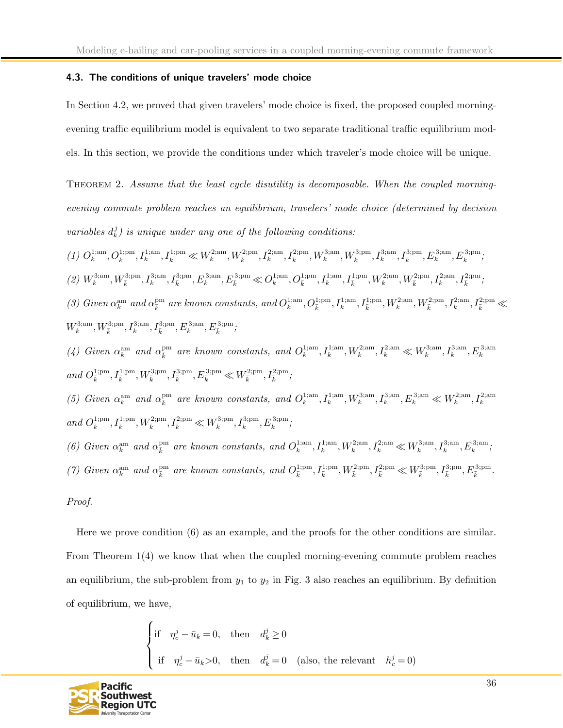### <span id="page-36-0"></span>4.3. The conditions of unique travelers' mode choice

In Section 4.2, we proved that given travelers' mode choice is fixed, the proposed coupled morningevening traffic equilibrium model is equivalent to two separate traditional traffic equilibrium models. In this section, we provide the conditions under which traveler's mode choice will be unique.

THEOREM 2. Assume that the least cycle disutility is decomposable. When the coupled morningevening commute problem reaches an equilibrium, travelers' mode choice (determined by decision variables  $d_k^j$ ) is unique under any one of the following conditions:

 $(1) \ O_{k}^{1; \text{am}}, O_{\bar{k}}^{1; \text{pm}}, I_{k}^{1; \text{am}}, I_{\bar{k}}^{1; \text{pm}} \ll W_{k}^{2; \text{am}}, W_{\bar{k}}^{2; \text{pm}}, I_{k}^{2; \text{am}}, I_{\bar{k}}^{2; \text{pm}}, W_{k}^{3; \text{am}}, W_{\bar{k}}^{3; \text{pm}}, I_{\bar{k}}^{3; \text{am}}, I_{\bar{k}}^{3; \text{mm}}, E_{k}^{3; \text{mm}}, E_{\bar{k}}^{3; \text{mm}},$  $(2) \ W_{k}^{3; \rm am}, W_{\bar{k}}^{3; \rm pm}, I_{k}^{3; \rm pm}, I_{\bar{k}}^{3; \rm pm}, E_{\bar{k}}^{3; \rm nm}, \nonumber \\ E_{\bar{k}}^{3; \rm pm} \ll O_{k}^{1; \rm am}, O_{\bar{k}}^{1; \rm pm}, I_{k}^{1; \rm am}, I_{\bar{k}}^{1; \rm pm}, W_{k}^{2; \rm nm}, W_{\bar{k}}^{2; \rm pm}, I_{k}^{2; \rm nm}, I_{\bar{k}}^{2; \rm pm}, \nonumber$ (3) Given  $\alpha_k^{\rm am}$  and  $\alpha_{\bar{k}}^{\rm pm}$  are known constants, and  $O_k^{1;\rm am}, O_{\bar{k}}^{1;\rm am}, I_k^{1;\rm am}, I_{\bar{k}}^{1;\rm pm}, W_k^{2;\rm am}, W_{\bar{k}}^{2;\rm mm}, I_k^{2;\rm mm}, I_{\bar{k}}^{2;\rm mm}, \leq$  $W_k^{3; \mathrm{am}}, W_{\bar{k}}^{3; \mathrm{pm}}, I_k^{3; \mathrm{am}}, I_{\bar{k}}^{3; \mathrm{pm}}, E_k^{3; \mathrm{am}}, E_{\bar{k}}^{3; \mathrm{pm}};$ (4) Given  $\alpha_k^{\text{am}}$  and  $\alpha_{\overline{k}}^{\text{pm}}$  are known constants, and  $O_k^{1;\text{am}}, I_k^{1;\text{am}}, W_k^{2;\text{am}}, I_k^{2;\text{am}} \ll W_k^{3;\text{am}}, H_k^{3;\text{am}}, E_k^{3;\text{am}}$ and  $O_{\bar{k}}^{1; \mathrm{pm}}, I_{\bar{k}}^{1; \mathrm{pm}}, W_{\bar{k}}^{3; \mathrm{pm}}, I_{\bar{k}}^{3; \mathrm{pm}}, E_{\bar{k}}^{3; \mathrm{pm}} \ll W_{\bar{k}}^{2; \mathrm{pm}}, I_{\bar{k}}^{2; \mathrm{pm}}$ (5) Given  $\alpha_k^{\text{am}}$  and  $\alpha_{\overline{k}}^{\text{pm}}$  are known constants, and  $O_k^{1;\text{am}}, I_k^{1;\text{am}}, W_k^{3;\text{am}}, I_k^{3;\text{am}}, E_k^{3;\text{am}} \ll W_k^{2;\text{am}}, I_k^{2;\text{am}}$ and  $O_{\bar{k}}^{1;\mathrm{pm}},I_{\bar{k}}^{1;\mathrm{pm}},W_{\bar{k}}^{2;\mathrm{pm}},I_{\bar{k}}^{2;\mathrm{pm}}\ll W_{\bar{k}}^{3;\mathrm{pm}},I_{\bar{k}}^{3;\mathrm{pm}},E_{\bar{k}}^{3;\mathrm{pm}};$ (6) Given  $\alpha_k^{\text{am}}$  and  $\alpha_{\overline{k}}^{\text{pm}}$  are known constants, and  $O_k^{1;\text{am}}, I_k^{1;\text{am}}, W_k^{2;\text{am}}, I_k^{2;\text{am}} \ll W_k^{3;\text{am}}, I_k^{3;\text{am}}, E_k^{3;\text{am}};$ (7) Given  $\alpha_k^{\text{am}}$  and  $\alpha_{\overline{k}}^{\text{pm}}$  are known constants, and  $O_{\overline{k}}^{1;\text{pm}}, I_{\overline{k}}^{1;\text{pm}}, W_{\overline{k}}^{2;\text{pm}}, I_{\overline{k}}^{2;\text{pm}}, \mathcal{H}_{\overline{k}}^{3;\text{pm}}, I_{\overline{k}}^{3;\text{pm}}, E_{\overline{k}}^{3;\text{pm}}$ . Proof.

Here we prove condition (6) as an example, and the proofs for the other conditions are similar. From Theorem 1(4) we know that when the coupled morning-evening commute problem reaches an equilibrium, the sub-problem from  $y_1$  to  $y_2$  in Fig. 3 also reaches an equilibrium. By definition of equilibrium, we have,

$$
\begin{cases}\n\text{if} & \eta_c^j - \bar{u}_k = 0, \text{ then } d_k^j \ge 0 \\
\text{if} & \eta_c^j - \bar{u}_k > 0, \text{ then } d_k^j = 0 \text{ (also, the relevant } h_c^j = 0)\n\end{cases}
$$

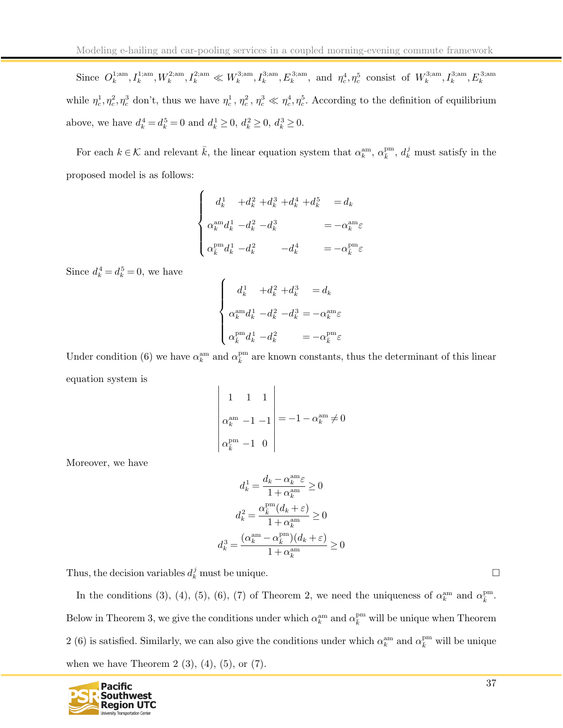Since  $O_k^{1;am}, I_k^{1;am}, W_k^{2;am}, I_k^{2;am} \ll W_k^{3;am}, I_k^{3;am}, E_k^{3;am}$ , and  $\eta_c^4, \eta_c^5$  consist of  $W_k^{3;am}, I_k^{3;am}, E_k^{3;am}$ while  $\eta_c^1, \eta_c^2, \eta_c^3$  don't, thus we have  $\eta_c^1, \eta_c^2, \eta_c^3 \ll \eta_c^4, \eta_c^5$ . According to the definition of equilibrium above, we have  $d_k^4 = d_k^5 = 0$  and  $d_k^1 \ge 0$ ,  $d_k^2 \ge 0$ ,  $d_k^3 \ge 0$ .

For each  $k \in \mathcal{K}$  and relevant  $\bar{k}$ , the linear equation system that  $\alpha_k^{\text{am}}, \alpha_{\bar{k}}^{\text{pm}}, d_k^j$  must satisfy in the proposed model is as follows:

$$
\begin{cases}\n d_k^1 + d_k^2 + d_k^3 + d_k^4 + d_k^5 = d_k \\
 \alpha_k^{\text{am}} d_k^1 - d_k^2 - d_k^3 = -\alpha_k^{\text{am}} \varepsilon \\
 \alpha_k^{\text{pm}} d_k^1 - d_k^2 = -d_k^4 = -\alpha_k^{\text{pm}} \varepsilon\n\end{cases}
$$

Since  $d_k^4 = d_k^5 = 0$ , we have

$$
\begin{cases}\n d_k^1 + d_k^2 + d_k^3 = d_k \\
 \alpha_k^{\text{am}} d_k^1 - d_k^2 - d_k^3 = -\alpha_k^{\text{am}} \varepsilon \\
 \alpha_k^{\text{pm}} d_k^1 - d_k^2 = -\alpha_k^{\text{pm}} \varepsilon\n\end{cases}
$$

Under condition (6) we have  $\alpha_k^{\text{am}}$  and  $\alpha_{\bar{k}}^{\text{pm}}$  are known constants, thus the determinant of this linear equation system is

$$
\begin{vmatrix} 1 & 1 & 1 \\ \alpha_k^{\text{am}} & -1 & -1 \\ \alpha_{\bar{k}}^{\text{pm}} & -1 & 0 \end{vmatrix} = -1 - \alpha_k^{\text{am}} \neq 0
$$

Moreover, we have

$$
d_k^1 = \frac{d_k - \alpha_k^{\text{am}} \varepsilon}{1 + \alpha_k^{\text{am}}} \ge 0
$$

$$
d_k^2 = \frac{\alpha_k^{\text{pm}}(d_k + \varepsilon)}{1 + \alpha_k^{\text{am}}} \ge 0
$$

$$
d_k^3 = \frac{(\alpha_k^{\text{am}} - \alpha_k^{\text{pm}})(d_k + \varepsilon)}{1 + \alpha_k^{\text{am}}} \ge 0
$$

Thus, the decision variables  $d_k^j$  must be unique.

In the conditions (3), (4), (5), (6), (7) of Theorem 2, we need the uniqueness of  $\alpha_k^{\text{am}}$  and  $\alpha_{\overline{k}}^{\text{pm}}$ . Below in Theorem 3, we give the conditions under which  $\alpha_k^{\text{am}}$  and  $\alpha_{\bar{k}}^{\text{pm}}$  will be unique when Theorem 2 (6) is satisfied. Similarly, we can also give the conditions under which  $\alpha_k^{\text{am}}$  and  $\alpha_{\bar{k}}^{\text{pm}}$  will be unique when we have Theorem 2  $(3)$ ,  $(4)$ ,  $(5)$ , or  $(7)$ .

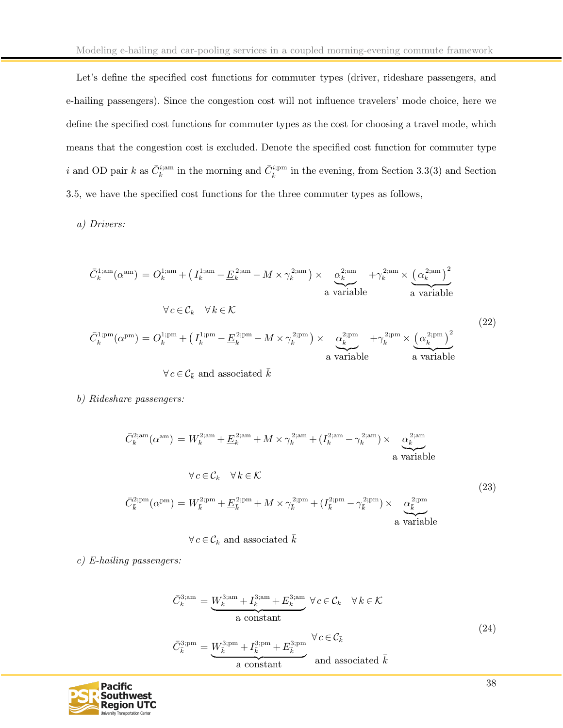Let's define the specified cost functions for commuter types (driver, rideshare passengers, and e-hailing passengers). Since the congestion cost will not influence travelers' mode choice, here we define the specified cost functions for commuter types as the cost for choosing a travel mode, which means that the congestion cost is excluded. Denote the specified cost function for commuter type i and OD pair k as  $\bar{C}_k^{i;am}$  in the morning and  $\bar{C}_{\bar{k}}^{i;pm}$  in the evening, from Section 3.3(3) and Section 3.5, we have the specified cost functions for the three commuter types as follows,

a) Drivers:

$$
\bar{C}_{k}^{1;am}(\alpha^{\text{am}}) = O_{k}^{1;am} + \left(I_{k}^{1;am} - \underline{E}_{k}^{2;am} - M \times \gamma_{k}^{2;am}\right) \times \underbrace{\alpha_{k}^{2;am}}_{\text{a variable}} + \gamma_{k}^{2;am} \times \underbrace{\left(\alpha_{k}^{2;am}\right)^{2}}_{\text{a variable}}
$$
\n
$$
\forall c \in \mathcal{C}_{k} \quad \forall k \in \mathcal{K}
$$
\n
$$
\bar{C}_{\bar{k}}^{1;pm}(\alpha^{\text{pm}}) = O_{\bar{k}}^{1;pm} + \left(I_{\bar{k}}^{1;pm} - \underline{E}_{\bar{k}}^{2;pm} - M \times \gamma_{\bar{k}}^{2;pm}\right) \times \underbrace{\alpha_{\bar{k}}^{2;pm}}_{\text{a variable}} + \gamma_{\bar{k}}^{2;pm} \times \underbrace{\left(\alpha_{\bar{k}}^{2;pm}\right)^{2}}_{\text{a variable}}
$$
\n
$$
\forall c \in \mathcal{C}_{k} \text{ and associated } \bar{k}
$$
\n
$$
(22)
$$

b) Rideshare passengers:

$$
\bar{C}_{k}^{2;\text{am}}(\alpha^{\text{am}}) = W_{k}^{2;\text{am}} + \underline{E}_{k}^{2;\text{am}} + M \times \gamma_{k}^{2;\text{am}} + (I_{k}^{2;\text{am}} - \gamma_{k}^{2;\text{am}}) \times \underbrace{\alpha_{k}^{2;\text{am}}}_{\text{a variable}}
$$
\n
$$
\forall c \in \mathcal{C}_{k} \quad \forall k \in \mathcal{K}
$$
\n
$$
\bar{C}_{k}^{2;\text{pm}}(\alpha^{\text{pm}}) = W_{k}^{2;\text{pm}} + \underline{E}_{k}^{2;\text{pm}} + M \times \gamma_{k}^{2;\text{pm}} + (I_{k}^{2;\text{pm}} - \gamma_{k}^{2;\text{pm}}) \times \underbrace{\alpha_{k}^{2;\text{pm}}}_{\text{a variable}}
$$
\n(23)

 $\forall c \in \mathcal{C}_{\bar{k}}$  and associated  $\bar{k}$ 

c) E-hailing passengers:

$$
\bar{C}_{k}^{3;am} = \underbrace{W_{k}^{3;am} + I_{k}^{3;am} + E_{k}^{3;am}}_{\text{a constant}} \forall c \in \mathcal{C}_{k} \quad \forall k \in \mathcal{K}
$$
\n
$$
\bar{C}_{\bar{k}}^{3;pm} = \underbrace{W_{\bar{k}}^{3;pm} + I_{\bar{k}}^{3;pm} + E_{\bar{k}}^{3;pm}}_{\text{a constant}} \quad \forall c \in \mathcal{C}_{\bar{k}}
$$
\n
$$
(24)
$$

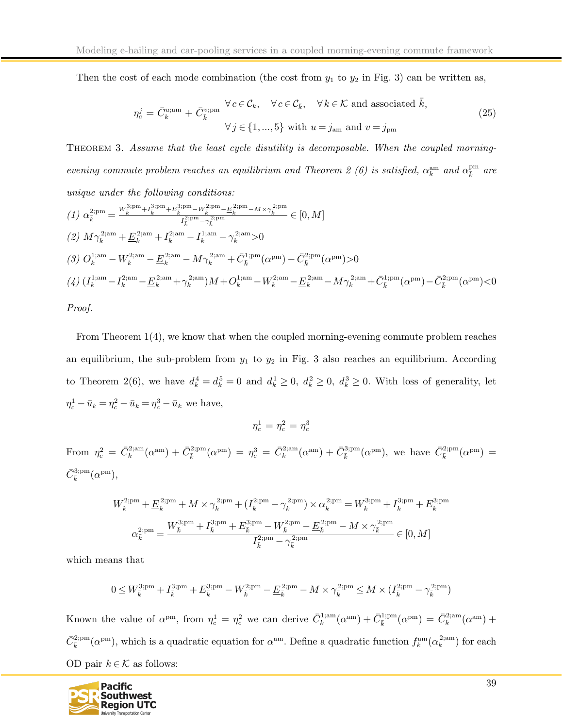Then the cost of each mode combination (the cost from  $y_1$  to  $y_2$  in Fig. 3) can be written as,

$$
\eta_c^j = \bar{C}_k^{u; \text{am}} + \bar{C}_{\bar{k}}^{v; \text{pm}} \quad \forall c \in \mathcal{C}_k, \quad \forall c \in \mathcal{C}_{\bar{k}}, \quad \forall k \in \mathcal{K} \text{ and associated } \bar{k},
$$
  

$$
\forall j \in \{1, ..., 5\} \text{ with } u = j_{\text{am}} \text{ and } v = j_{\text{pm}}
$$
 (25)

THEOREM 3. Assume that the least cycle disutility is decomposable. When the coupled morningevening commute problem reaches an equilibrium and Theorem 2 (6) is satisfied,  $\alpha_k^{\text{am}}$  and  $\alpha_{\overline{k}}^{\text{pm}}$  are unique under the following conditions:

$$
(1) \ \alpha_{\bar{k}}^{2;pm} = \frac{W_{\bar{k}}^{3;pm} + I_{\bar{k}}^{3;pm} + E_{\bar{k}}^{3;pm} - W_{\bar{k}}^{2;pm} - E_{\bar{k}}^{2;pm} - M \times \gamma_{\bar{k}}^{2;pm}}{I_{\bar{k}}^{2;pm} - \gamma_{\bar{k}}^{2;pm}} \in [0, M]
$$
\n
$$
(2) \ M \gamma_{k}^{2;am} + \underline{E}_{k}^{2;am} + I_{k}^{2;am} - I_{k}^{1;am} - \gamma_{k}^{2;am} > 0
$$
\n
$$
(3) \ O_{k}^{1;am} - W_{k}^{2;am} - \underline{E}_{k}^{2;am} - M \gamma_{k}^{2;am} + \bar{C}_{\bar{k}}^{1;pm} (\alpha^{\text{pm}}) - \bar{C}_{k}^{2;pm} (\alpha^{\text{pm}}) > 0
$$
\n
$$
(4) \ (I_{k}^{1;am} - I_{k}^{2;am} - \underline{E}_{k}^{2;am} + \gamma_{k}^{2;am})M + O_{k}^{1;am} - W_{k}^{2;am} - \underline{E}_{k}^{2;am} - M \gamma_{k}^{2;am} + \bar{C}_{\bar{k}}^{1;pm} (\alpha^{\text{pm}}) - \bar{C}_{\bar{k}}^{2;pm}
$$

Proof.

From Theorem 1(4), we know that when the coupled morning-evening commute problem reaches an equilibrium, the sub-problem from  $y_1$  to  $y_2$  in Fig. 3 also reaches an equilibrium. According to Theorem 2(6), we have  $d_k^4 = d_k^5 = 0$  and  $d_k^1 \geq 0$ ,  $d_k^2 \geq 0$ ,  $d_k^3 \geq 0$ . With loss of generality, let  $\eta_c^1 - \bar{u}_k = \eta_c^2 - \bar{u}_k = \eta_c^3 - \bar{u}_k$  we have,

$$
\eta_c^1=\eta_c^2=\eta_c^3
$$

From  $\eta_c^2 = \bar{C}_k^{2;am}(\alpha^{\text{am}}) + \bar{C}_{\bar{k}}^{2;pm}(\alpha^{\text{pm}}) = \eta_c^3 = \bar{C}_k^{2;am}(\alpha^{\text{am}}) + \bar{C}_{\bar{k}}^{3;pm}(\alpha^{\text{pm}})$ , we have  $\bar{C}_{\bar{k}}^{2;pm}(\alpha^{\text{pm}}) =$  $\bar{C}_{\bar{k}}^{3;\text{pm}}(\alpha^{\text{pm}}),$ 

$$
W_{\bar{k}}^{2;\text{pm}} + \underline{E}_{\bar{k}}^{2;\text{pm}} + M \times \gamma_{\bar{k}}^{2;\text{pm}} + (I_{\bar{k}}^{2;\text{pm}} - \gamma_{\bar{k}}^{2;\text{pm}}) \times \alpha_{\bar{k}}^{2;\text{pm}} = W_{\bar{k}}^{3;\text{pm}} + I_{\bar{k}}^{3;\text{pm}} + E_{\bar{k}}^{3;\text{pm}}
$$

$$
\alpha_{\bar{k}}^{2;\text{pm}} = \frac{W_{\bar{k}}^{3;\text{pm}} + I_{\bar{k}}^{3;\text{pm}} + E_{\bar{k}}^{3;\text{pm}} - W_{\bar{k}}^{2;\text{pm}} - \underline{E}_{\bar{k}}^{2;\text{pm}} - M \times \gamma_{\bar{k}}^{2;\text{pm}}}{I_{\bar{k}}^{2;\text{pm}} - \gamma_{\bar{k}}^{2;\text{pm}}} \in [0, M]
$$

which means that

$$
0 \le W_{\bar k}^{3;\mathrm{pm}} + I_{\bar k}^{3;\mathrm{pm}} + E_{\bar k}^{3;\mathrm{pm}} - W_{\bar k}^{2;\mathrm{pm}} - \underline E_{\bar k}^{2;\mathrm{pm}} - M \times \gamma_{\bar k}^{2;\mathrm{pm}} \le M \times (I_{\bar k}^{2;\mathrm{pm}} - \gamma_{\bar k}^{2;\mathrm{pm}})
$$

Known the value of  $\alpha^{pm}$ , from  $\eta_c^1 = \eta_c^2$  we can derive  $\bar{C}_k^{1;am}(\alpha^{am}) + \bar{C}_k^{1;pm}(\alpha^{pm}) = \bar{C}_k^{2;am}(\alpha^{am}) +$  $\bar{C}_{\bar{k}}^{2;pm}(\alpha^{\text{pm}})$ , which is a quadratic equation for  $\alpha^{\text{am}}$ . Define a quadratic function  $f_k^{\text{am}}(\alpha_k^{2;nm})$  for each OD pair  $k \in \mathcal{K}$  as follows:

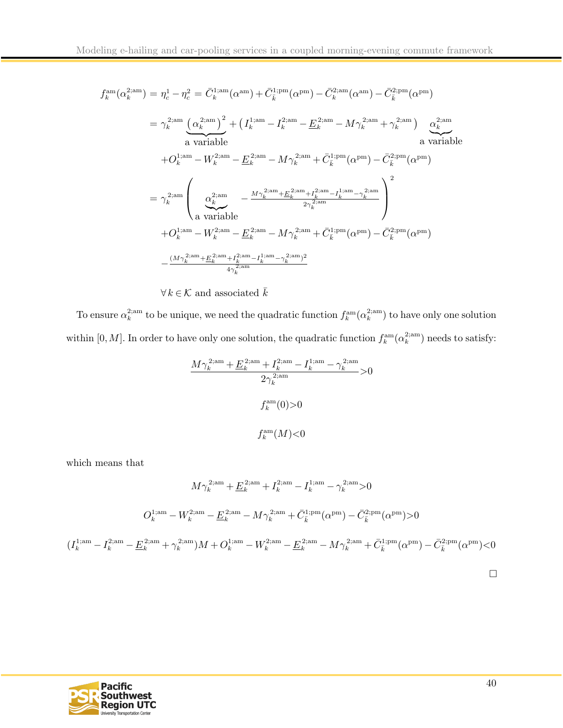$$
f_k^{\text{am}}(\alpha_k^{2; \text{am}}) = \eta_c^1 - \eta_c^2 = \bar{C}_k^{1; \text{am}}(\alpha^{\text{am}}) + \bar{C}_k^{1; \text{pm}}(\alpha^{\text{pm}}) - \bar{C}_k^{2; \text{am}}(\alpha^{\text{am}}) - \bar{C}_k^{2; \text{pm}}(\alpha^{\text{pm}})
$$
  
\n
$$
= \gamma_k^{2; \text{am}} \frac{(\alpha_k^{2; \text{am}})^2 + (I_k^{1; \text{am}} - I_k^{2; \text{am}} - \underline{E}_k^{2; \text{am}} - M\gamma_k^{2; \text{am}} + \gamma_k^{2; \text{am}})}{\text{a variable}}
$$
  
\n
$$
+ O_k^{1; \text{am}} - W_k^{2; \text{am}} - \underline{E}_k^{2; \text{am}} - M\gamma_k^{2; \text{am}} + \bar{C}_k^{1; \text{pm}}(\alpha^{\text{pm}}) - \bar{C}_k^{2; \text{pm}}(\alpha^{\text{pm}})
$$
  
\n
$$
= \gamma_k^{2; \text{am}} \left( \frac{\alpha_k^{2; \text{am}}}{\alpha_k^{2; \text{am}}} - \frac{M\gamma_k^{2; \text{am}} + \underline{E}_k^{2; \text{am}} + I_k^{2; \text{am}} - I_k^{1; \text{am}} - \gamma_k^{2; \text{am}}}{2\gamma_k^{2; \text{am}}}\right)^2
$$
  
\n
$$
+ O_k^{1; \text{am}} - W_k^{2; \text{am}} - \underline{E}_k^{2; \text{am}} - M\gamma_k^{2; \text{am}} + \bar{C}_k^{1; \text{pm}}(\alpha^{\text{pm}}) - \bar{C}_k^{2; \text{pm}}(\alpha^{\text{pm}})
$$
  
\n
$$
- \frac{(M\gamma_k^{2; \text{am}} + \underline{E}_k^{2; \text{am}} + I_k^{2; \text{am}} - I_k^{1; \text{am}} - \gamma_k^{2; \text{am}})^2}{4\gamma_k^{2; \text{am}}}
$$

 $\forall k \in \mathcal{K}$  and associated  $\bar{k}$ 

To ensure  $\alpha_k^{2;am}$  to be unique, we need the quadratic function  $f_k^{\text{am}}(\alpha_k^{2;am})$  to have only one solution within  $[0, M]$ . In order to have only one solution, the quadratic function  $f_k^{\text{am}}(\alpha_k^2)$  needs to satisfy:

$$
\frac{M\gamma_k^{2;\text{am}} + \underline{E}_k^{2;\text{am}} + I_k^{2;\text{am}} - I_k^{1;\text{am}} - \gamma_k^{2;\text{am}}}{2\gamma_k^{2;\text{am}}} > 0
$$
  

$$
f_k^{\text{am}}(0) > 0
$$
  

$$
f_k^{\text{am}}(M) < 0
$$

which means that

$$
M\gamma_k^{2;am} + \underline{E}_k^{2;am} + I_k^{2;am} - I_k^{1;am} - \gamma_k^{2;am} > 0
$$
  

$$
O_k^{1;am} - W_k^{2;am} - \underline{E}_k^{2;am} - M\gamma_k^{2;am} + \bar{C}_k^{1;pm}(\alpha^{pm}) - \bar{C}_k^{2;pm}(\alpha^{pm}) > 0
$$
  

$$
(I_k^{1;am} - I_k^{2;am} - \underline{E}_k^{2;am} + \gamma_k^{2;am})M + O_k^{1;am} - W_k^{2;am} - \underline{E}_k^{2;am} - M\gamma_k^{2;am} + \bar{C}_k^{1;pm}(\alpha^{pm}) - \bar{C}_k^{2;pm}(\alpha^{pm}) < 0
$$

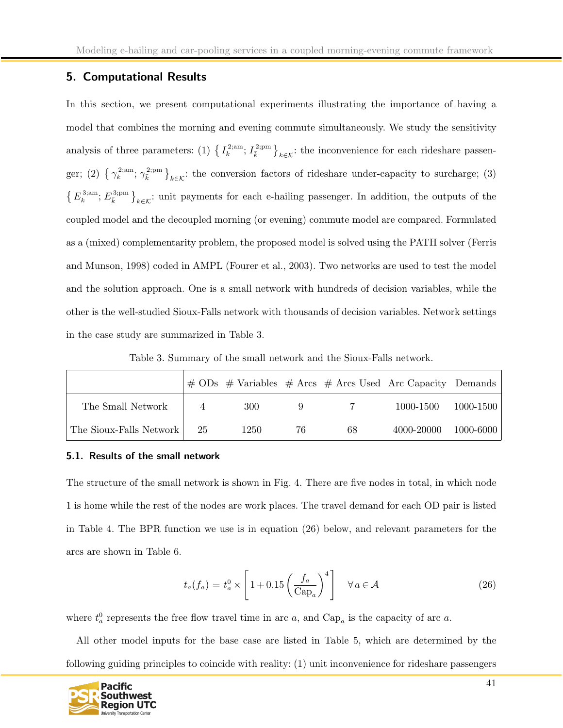# <span id="page-41-0"></span>5. Computational Results

In this section, we present computational experiments illustrating the importance of having a model that combines the morning and evening commute simultaneously. We study the sensitivity analysis of three parameters: (1)  $\{I_k^{\{2\text{,sm}\}}\}_{k\in\mathcal{K}}$ : the inconvenience for each rideshare passenger; (2)  $\{\gamma_k^{\text{2,am}};\gamma_{\overline{k}}^{\text{2,pm}}\}_{k\in\mathcal{K}}$ : the conversion factors of rideshare under-capacity to surcharge; (3)  $\{E_k^{3;am}; E_k^{3;pm}\}_{k\in\mathcal{K}}$ : unit payments for each e-hailing passenger. In addition, the outputs of the coupled model and the decoupled morning (or evening) commute model are compared. Formulated as a (mixed) complementarity problem, the proposed model is solved using the PATH solver (Ferris and Munson, 1998) coded in AMPL (Fourer et al., 2003). Two networks are used to test the model and the solution approach. One is a small network with hundreds of decision variables, while the other is the well-studied Sioux-Falls network with thousands of decision variables. Network settings in the case study are summarized in Table 3.

Table 3. Summary of the small network and the Sioux-Falls network.

|                         |    |      |    |    | $\#$ ODs $\#$ Variables $\#$ Arcs $\#$ Arcs Used Arc Capacity Demands |           |
|-------------------------|----|------|----|----|-----------------------------------------------------------------------|-----------|
| The Small Network       |    | 300  |    |    | 1000-1500                                                             | 1000-1500 |
| The Sioux-Falls Network | 25 | 1250 | 76 | 68 | 4000-20000                                                            | 1000-6000 |

#### <span id="page-41-1"></span>5.1. Results of the small network

The structure of the small network is shown in Fig. 4. There are five nodes in total, in which node 1 is home while the rest of the nodes are work places. The travel demand for each OD pair is listed in Table 4. The BPR function we use is in equation (26) below, and relevant parameters for the arcs are shown in Table 6.

$$
t_a(f_a) = t_a^0 \times \left[1 + 0.15\left(\frac{f_a}{\text{Cap}_a}\right)^4\right] \quad \forall a \in \mathcal{A}
$$
 (26)

where  $t_a^0$  represents the free flow travel time in arc a, and  $\text{Cap}_a$  is the capacity of arc a.

All other model inputs for the base case are listed in Table 5, which are determined by the following guiding principles to coincide with reality: (1) unit inconvenience for rideshare passengers

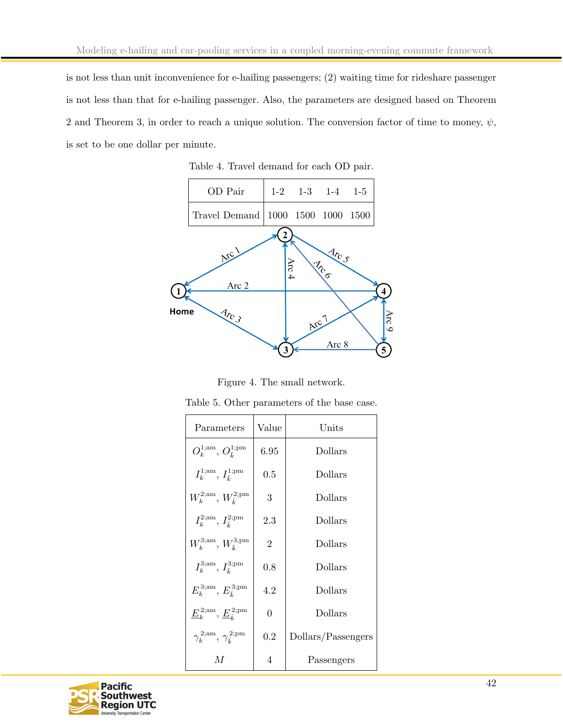is not less than unit inconvenience for e-hailing passengers; (2) waiting time for rideshare passenger is not less than that for e-hailing passenger. Also, the parameters are designed based on Theorem 2 and Theorem 3, in order to reach a unique solution. The conversion factor of time to money,  $\psi$ , is set to be one dollar per minute.



Table 4. Travel demand for each OD pair.

Figure 4. The small network.

| Parameters                                   | Value          | Units              |
|----------------------------------------------|----------------|--------------------|
| $O_k^{1;am}, O_{\bar{k}}^{1;pm}$             | 6.95           | Dollars            |
| $I_k^{1;am}, I_{\bar{k}}^{1;pm}$             | 0.5            | Dollars            |
| $W_k^{\rm 2;am}, W_{\bar{k}}^{\rm 2;pm}$     | 3              | Dollars            |
| $I_k^{\rm 2;am}, I_{\bar{k}}^{\rm 2;pm}$     | 2.3            | Dollars            |
| $W_k^{\rm 3;am}, W_{\bar{\iota}}^{\rm 3;pm}$ | $\overline{2}$ | Dollars            |
| $I_k^{\rm 3;am}, I_{\bar{k}}^{\rm 3;pm}$     | 0.8            | Dollars            |
| $E_k^{\rm 3;am}, E_{\bar{k}}^{\rm 3;pm}$     | 4.2            | Dollars            |
| $E_k^{2;am}, E_{\bar{\iota}}^{2;pm}$         | $\theta$       | Dollars            |
| $\gamma_k^{2;am}, \gamma_{\bar{k}}^{2;pm}$   | 0.2            | Dollars/Passengers |
| M                                            | $\overline{4}$ | Passengers         |

Table 5. Other parameters of the base case.

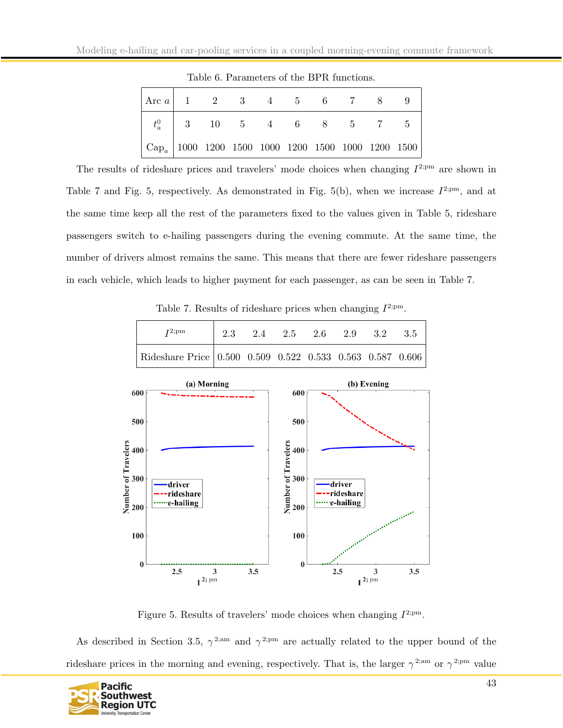| $ \text{Arc }a $ 1 2 3 4 5 6 7 8 9                                                    |                              |  |  |  |  |
|---------------------------------------------------------------------------------------|------------------------------|--|--|--|--|
|                                                                                       | $t_a^0$   3 10 5 4 6 8 5 7 5 |  |  |  |  |
| $\vert$ Cap <sub>a</sub> $\vert$ 1000 1200 1500 1000 1200 1500 1000 1200 1500 $\vert$ |                              |  |  |  |  |

Table 6. Parameters of the BPR functions.

The results of rideshare prices and travelers' mode choices when changing  $I^{2,pm}$  are shown in Table 7 and Fig. 5, respectively. As demonstrated in Fig. 5(b), when we increase  $I^{2,pm}$ , and at the same time keep all the rest of the parameters fixed to the values given in Table 5, rideshare passengers switch to e-hailing passengers during the evening commute. At the same time, the number of drivers almost remains the same. This means that there are fewer rideshare passengers in each vehicle, which leads to higher payment for each passenger, as can be seen in Table 7.

Table 7. Results of rideshare prices when changing  $I^{2,pm}$ .

| $T^{2;pm}$                                                | 2.3 2.4 2.5 2.6 2.9 3.2 |  |  | -3.5 |
|-----------------------------------------------------------|-------------------------|--|--|------|
| Rideshare Price 0.500 0.509 0.522 0.533 0.563 0.587 0.606 |                         |  |  |      |



Figure 5. Results of travelers' mode choices when changing  $I^{2,pm}$ .

As described in Section 3.5,  $\gamma^{2; am}$  and  $\gamma^{2; pm}$  are actually related to the upper bound of the rideshare prices in the morning and evening, respectively. That is, the larger  $\gamma^{2;am}$  or  $\gamma^{2;pm}$  value

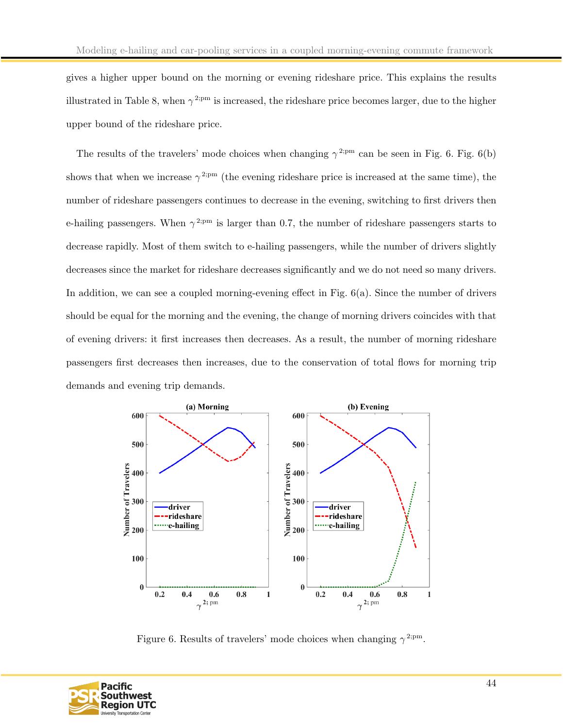gives a higher upper bound on the morning or evening rideshare price. This explains the results illustrated in Table 8, when  $\gamma^{2;pm}$  is increased, the rideshare price becomes larger, due to the higher upper bound of the rideshare price.

The results of the travelers' mode choices when changing  $\gamma^{2:pm}$  can be seen in Fig. 6. Fig. 6(b) shows that when we increase  $\gamma^{2:pm}$  (the evening rideshare price is increased at the same time), the number of rideshare passengers continues to decrease in the evening, switching to first drivers then e-hailing passengers. When  $\gamma^{2,pm}$  is larger than 0.7, the number of rideshare passengers starts to decrease rapidly. Most of them switch to e-hailing passengers, while the number of drivers slightly decreases since the market for rideshare decreases significantly and we do not need so many drivers. In addition, we can see a coupled morning-evening effect in Fig.  $6(a)$ . Since the number of drivers should be equal for the morning and the evening, the change of morning drivers coincides with that of evening drivers: it first increases then decreases. As a result, the number of morning rideshare passengers first decreases then increases, due to the conservation of total flows for morning trip demands and evening trip demands.



Figure 6. Results of travelers' mode choices when changing  $\gamma^{2,pm}$ .

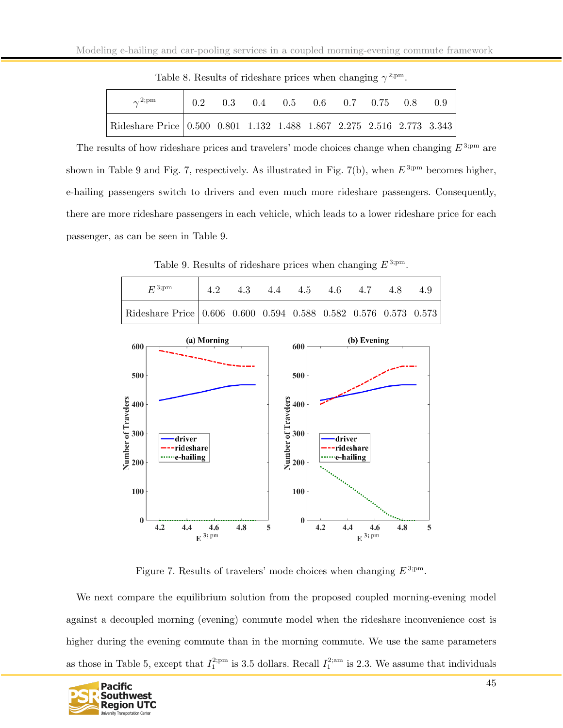| $\gamma^{2,pm}$                                                       |  | $0.2$ $0.3$ $0.4$ $0.5$ $0.6$ $0.7$ $0.75$ $0.8$ |  |  | (0.9) |
|-----------------------------------------------------------------------|--|--------------------------------------------------|--|--|-------|
| Rideshare Price 0.500 0.801 1.132 1.488 1.867 2.275 2.516 2.773 3.343 |  |                                                  |  |  |       |

Table 8. Results of rideshare prices when changing  $\gamma^{2,pm}$ .

The results of how rideshare prices and travelers' mode choices change when changing  $E^{3;pm}$  are shown in Table 9 and Fig. 7, respectively. As illustrated in Fig. 7(b), when  $E^{3;pm}$  becomes higher, e-hailing passengers switch to drivers and even much more rideshare passengers. Consequently, there are more rideshare passengers in each vehicle, which leads to a lower rideshare price for each passenger, as can be seen in Table 9.

Table 9. Results of rideshare prices when changing  $E^{3,pm}$ .



Figure 7. Results of travelers' mode choices when changing  $E^{3;pm}$ .

We next compare the equilibrium solution from the proposed coupled morning-evening model against a decoupled morning (evening) commute model when the rideshare inconvenience cost is higher during the evening commute than in the morning commute. We use the same parameters as those in Table 5, except that  $I_1^{2;pm}$  is 3.5 dollars. Recall  $I_1^{2;am}$  is 2.3. We assume that individuals

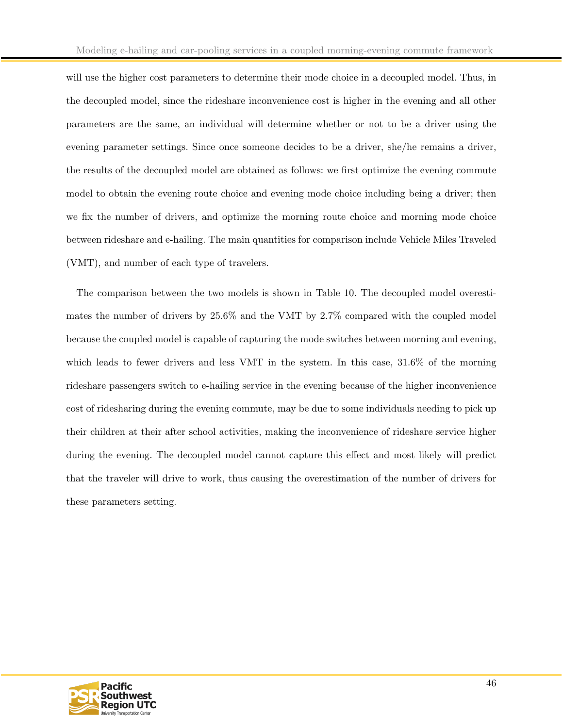will use the higher cost parameters to determine their mode choice in a decoupled model. Thus, in the decoupled model, since the rideshare inconvenience cost is higher in the evening and all other parameters are the same, an individual will determine whether or not to be a driver using the evening parameter settings. Since once someone decides to be a driver, she/he remains a driver, the results of the decoupled model are obtained as follows: we first optimize the evening commute model to obtain the evening route choice and evening mode choice including being a driver; then we fix the number of drivers, and optimize the morning route choice and morning mode choice between rideshare and e-hailing. The main quantities for comparison include Vehicle Miles Traveled (VMT), and number of each type of travelers.

The comparison between the two models is shown in Table 10. The decoupled model overestimates the number of drivers by 25.6% and the VMT by 2.7% compared with the coupled model because the coupled model is capable of capturing the mode switches between morning and evening, which leads to fewer drivers and less VMT in the system. In this case, 31.6% of the morning rideshare passengers switch to e-hailing service in the evening because of the higher inconvenience cost of ridesharing during the evening commute, may be due to some individuals needing to pick up their children at their after school activities, making the inconvenience of rideshare service higher during the evening. The decoupled model cannot capture this effect and most likely will predict that the traveler will drive to work, thus causing the overestimation of the number of drivers for these parameters setting.

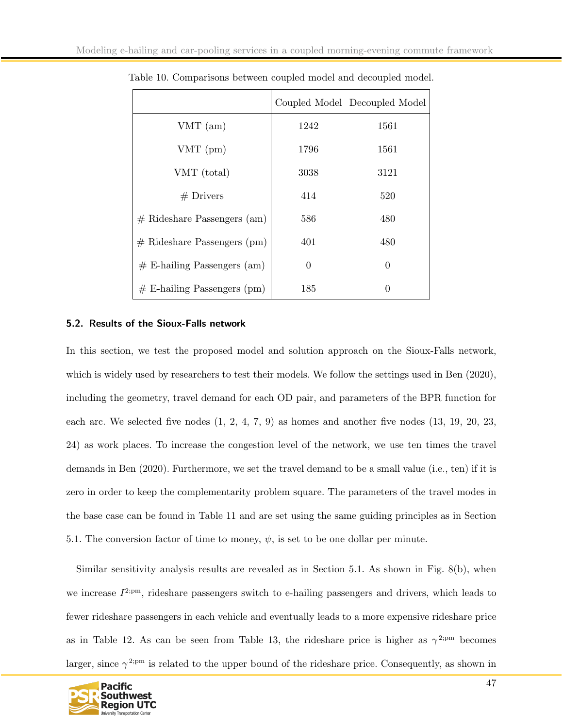|                               |                  | Coupled Model Decoupled Model |
|-------------------------------|------------------|-------------------------------|
| $VMT$ (am)                    | 1242             | 1561                          |
| $VMT$ (pm)                    | 1796             | 1561                          |
| VMT (total)                   | 3038             | 3121                          |
| $#$ Drivers                   | 414              | 520                           |
| $#$ Rideshare Passengers (am) | 586              | 480                           |
| $#$ Rideshare Passengers (pm) | 401              | 480                           |
| $#$ E-hailing Passengers (am) | $\boldsymbol{0}$ | $\overline{0}$                |
| $#$ E-hailing Passengers (pm) | 185              | $\theta$                      |

Table 10. Comparisons between coupled model and decoupled model.

#### <span id="page-47-0"></span>5.2. Results of the Sioux-Falls network

In this section, we test the proposed model and solution approach on the Sioux-Falls network, which is widely used by researchers to test their models. We follow the settings used in Ben (2020), including the geometry, travel demand for each OD pair, and parameters of the BPR function for each arc. We selected five nodes  $(1, 2, 4, 7, 9)$  as homes and another five nodes  $(13, 19, 20, 23, 19)$ 24) as work places. To increase the congestion level of the network, we use ten times the travel demands in Ben (2020). Furthermore, we set the travel demand to be a small value (i.e., ten) if it is zero in order to keep the complementarity problem square. The parameters of the travel modes in the base case can be found in Table 11 and are set using the same guiding principles as in Section 5.1. The conversion factor of time to money,  $\psi$ , is set to be one dollar per minute.

Similar sensitivity analysis results are revealed as in Section 5.1. As shown in Fig. 8(b), when we increase  $I^{2,pm}$ , rideshare passengers switch to e-hailing passengers and drivers, which leads to fewer rideshare passengers in each vehicle and eventually leads to a more expensive rideshare price as in Table 12. As can be seen from Table 13, the rideshare price is higher as  $\gamma^{2,pm}$  becomes larger, since  $\gamma^{2:pm}$  is related to the upper bound of the rideshare price. Consequently, as shown in

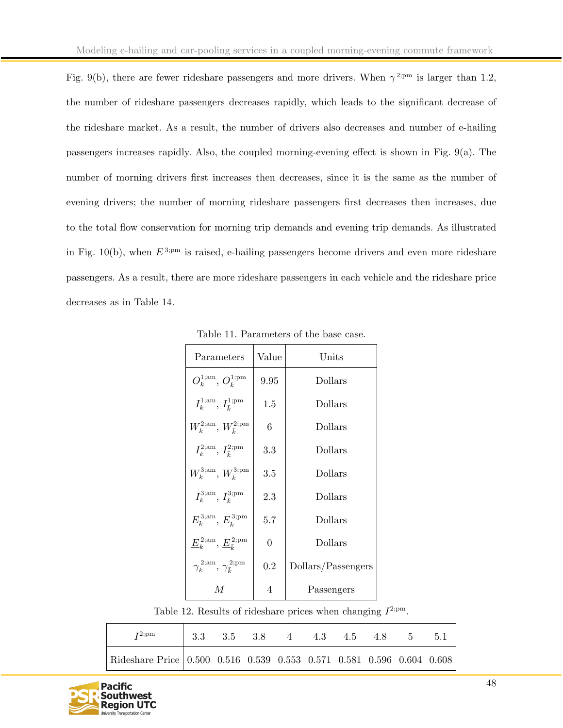Fig. 9(b), there are fewer rideshare passengers and more drivers. When  $\gamma^{2:pm}$  is larger than 1.2, the number of rideshare passengers decreases rapidly, which leads to the significant decrease of the rideshare market. As a result, the number of drivers also decreases and number of e-hailing passengers increases rapidly. Also, the coupled morning-evening effect is shown in Fig. 9(a). The number of morning drivers first increases then decreases, since it is the same as the number of evening drivers; the number of morning rideshare passengers first decreases then increases, due to the total flow conservation for morning trip demands and evening trip demands. As illustrated in Fig. 10(b), when  $E^{3,pm}$  is raised, e-hailing passengers become drivers and even more rideshare passengers. As a result, there are more rideshare passengers in each vehicle and the rideshare price decreases as in Table 14.

| Parameters                                   | Value          | Units              |
|----------------------------------------------|----------------|--------------------|
| $O_k^{1;am}, O_{\bar{k}}^{1;pm}$             | 9.95           | Dollars            |
| $I_k^{1;am}, I_{\bar{k}}^{1;pm}$             | $1.5\,$        | Dollars            |
| $W_k^{\rm 2;am}, W_{\bar{k}}^{\rm 2;pm}$     | 6              | Dollars            |
| $I_k^{\rm 2;am}, I_{\bar{k}}^{\rm 2;pm}$     | 3.3            | Dollars            |
| $W_k^{\rm 3;am}, W_{\bar{k}}^{\rm 3;pm}$     | $3.5\,$        | Dollars            |
| $I_k^{\rm 3;am}, I_{\bar{k}}^{\rm 3;pm}$     | 2.3            | Dollars            |
| $E_k^{\rm 3;am}, E_{\bar{\iota}}^{\rm 3;pm}$ | 5.7            | Dollars            |
| $E_k^{2;am}, E_{\bar{k}}^{2;pm}$             | $\overline{0}$ | Dollars            |
| $\gamma_k^{2;am}, \gamma_{\bar{k}}^{2;pm}$   | 0.2            | Dollars/Passengers |
| M                                            | 4              | Passengers         |

Table 11. Parameters of the base case.

Table 12. Results of rideshare prices when changing  $I^{2,pm}$ .

| $I^{2;pm}$                                                                    | $\begin{array}{cccccccc} \n\end{array}$ 3.3 3.5 3.8 4 4.3 4.5 4.8 5 5.1 |  |  |  |  |
|-------------------------------------------------------------------------------|-------------------------------------------------------------------------|--|--|--|--|
| Rideshare Price $\vert$ 0.500 0.516 0.539 0.553 0.571 0.581 0.596 0.604 0.608 |                                                                         |  |  |  |  |

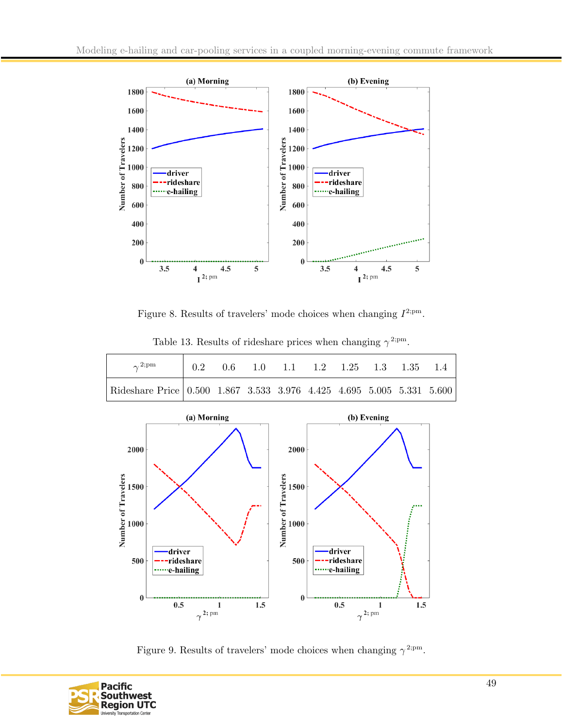

Figure 8. Results of travelers' mode choices when changing  $I^{2,pm}$ .



Table 13. Results of rideshare prices when changing  $\gamma^{2,pm}$ .

Figure 9. Results of travelers' mode choices when changing  $\gamma^{2,pm}$ .

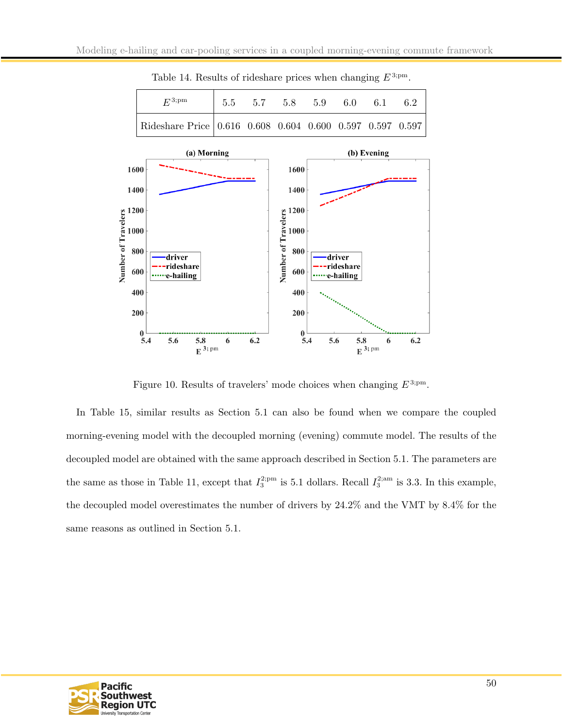

Table 14. Results of rideshare prices when changing  $E^{3,pm}$ .

Figure 10. Results of travelers' mode choices when changing  $E^{3;pm}$ .

In Table 15, similar results as Section 5.1 can also be found when we compare the coupled morning-evening model with the decoupled morning (evening) commute model. The results of the decoupled model are obtained with the same approach described in Section 5.1. The parameters are the same as those in Table 11, except that  $I_3^{2;pm}$  is 5.1 dollars. Recall  $I_3^{2;am}$  is 3.3. In this example, the decoupled model overestimates the number of drivers by 24.2% and the VMT by 8.4% for the same reasons as outlined in Section 5.1.

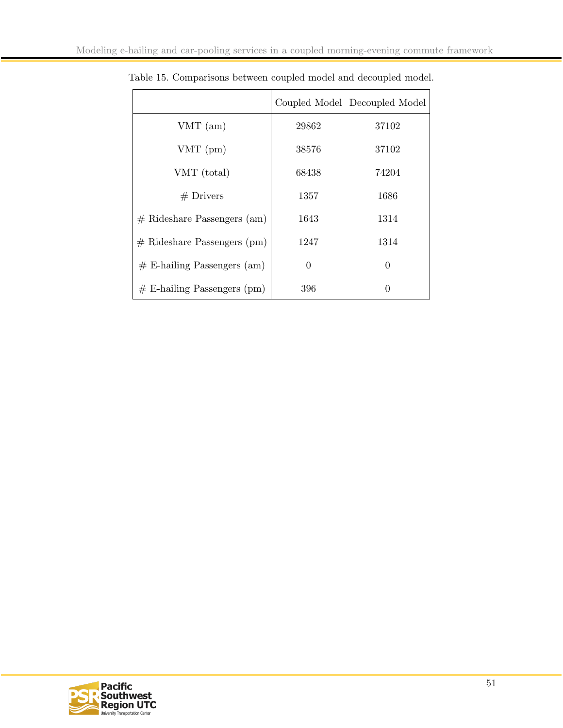|                               |          | Coupled Model Decoupled Model |
|-------------------------------|----------|-------------------------------|
| $VMT$ (am)                    | 29862    | 37102                         |
| $VMT$ (pm)                    | 38576    | 37102                         |
| VMT (total)                   | 68438    | 74204                         |
| $#$ Drivers                   | 1357     | 1686                          |
| $#$ Rideshare Passengers (am) | 1643     | 1314                          |
| $#$ Rideshare Passengers (pm) | 1247     | 1314                          |
| $#$ E-hailing Passengers (am) | $\theta$ | 0                             |
| $#$ E-hailing Passengers (pm) | 396      | 0                             |

Table 15. Comparisons between coupled model and decoupled model.

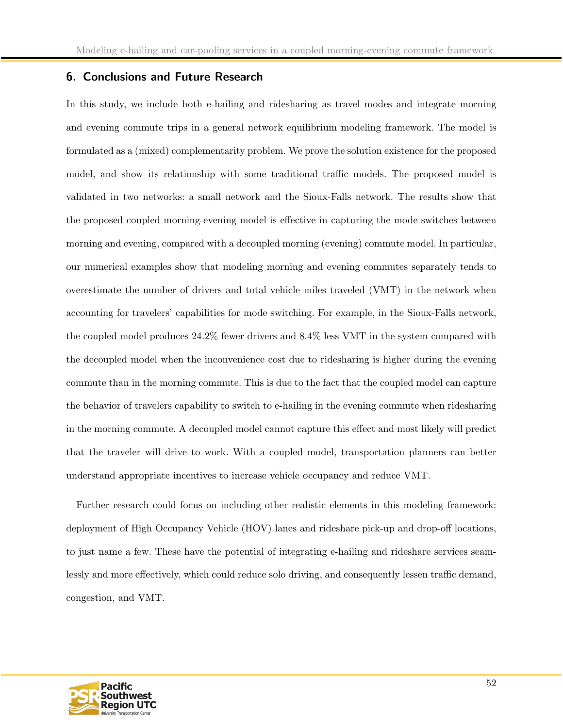# <span id="page-52-0"></span>6. Conclusions and Future Research

In this study, we include both e-hailing and ridesharing as travel modes and integrate morning and evening commute trips in a general network equilibrium modeling framework. The model is formulated as a (mixed) complementarity problem. We prove the solution existence for the proposed model, and show its relationship with some traditional traffic models. The proposed model is validated in two networks: a small network and the Sioux-Falls network. The results show that the proposed coupled morning-evening model is effective in capturing the mode switches between morning and evening, compared with a decoupled morning (evening) commute model. In particular, our numerical examples show that modeling morning and evening commutes separately tends to overestimate the number of drivers and total vehicle miles traveled (VMT) in the network when accounting for travelers' capabilities for mode switching. For example, in the Sioux-Falls network, the coupled model produces 24.2% fewer drivers and 8.4% less VMT in the system compared with the decoupled model when the inconvenience cost due to ridesharing is higher during the evening commute than in the morning commute. This is due to the fact that the coupled model can capture the behavior of travelers capability to switch to e-hailing in the evening commute when ridesharing in the morning commute. A decoupled model cannot capture this effect and most likely will predict that the traveler will drive to work. With a coupled model, transportation planners can better understand appropriate incentives to increase vehicle occupancy and reduce VMT.

Further research could focus on including other realistic elements in this modeling framework: deployment of High Occupancy Vehicle (HOV) lanes and rideshare pick-up and drop-off locations, to just name a few. These have the potential of integrating e-hailing and rideshare services seamlessly and more effectively, which could reduce solo driving, and consequently lessen traffic demand, congestion, and VMT.

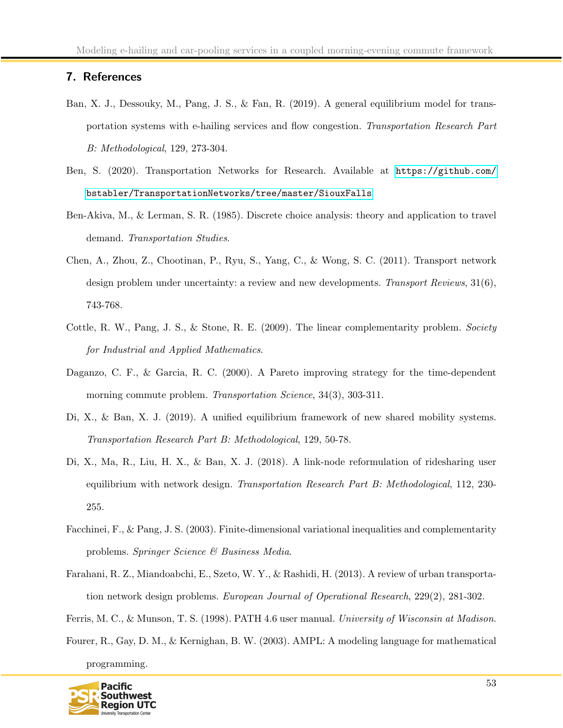# <span id="page-53-0"></span>7. References

- Ban, X. J., Dessouky, M., Pang, J. S., & Fan, R. (2019). A general equilibrium model for transportation systems with e-hailing services and flow congestion. Transportation Research Part B: Methodological, 129, 273-304.
- Ben, S. (2020). Transportation Networks for Research. Available at [https://github.com/](https://github.com/bstabler/TransportationNetworks/tree/master/SiouxFalls) [bstabler/TransportationNetworks/tree/master/SiouxFalls](https://github.com/bstabler/TransportationNetworks/tree/master/SiouxFalls)
- Ben-Akiva, M., & Lerman, S. R. (1985). Discrete choice analysis: theory and application to travel demand. Transportation Studies.
- Chen, A., Zhou, Z., Chootinan, P., Ryu, S., Yang, C., & Wong, S. C. (2011). Transport network design problem under uncertainty: a review and new developments. Transport Reviews, 31(6), 743-768.
- Cottle, R. W., Pang, J. S., & Stone, R. E. (2009). The linear complementarity problem. Society for Industrial and Applied Mathematics.
- Daganzo, C. F., & Garcia, R. C. (2000). A Pareto improving strategy for the time-dependent morning commute problem. *Transportation Science*, 34(3), 303-311.
- Di, X., & Ban, X. J. (2019). A unified equilibrium framework of new shared mobility systems. Transportation Research Part B: Methodological, 129, 50-78.
- Di, X., Ma, R., Liu, H. X., & Ban, X. J. (2018). A link-node reformulation of ridesharing user equilibrium with network design. Transportation Research Part B: Methodological, 112, 230-255.
- Facchinei, F., & Pang, J. S. (2003). Finite-dimensional variational inequalities and complementarity problems. Springer Science & Business Media.
- Farahani, R. Z., Miandoabchi, E., Szeto, W. Y., & Rashidi, H. (2013). A review of urban transportation network design problems. European Journal of Operational Research, 229(2), 281-302.
- Ferris, M. C., & Munson, T. S. (1998). PATH 4.6 user manual. University of Wisconsin at Madison.
- Fourer, R., Gay, D. M., & Kernighan, B. W. (2003). AMPL: A modeling language for mathematical programming.

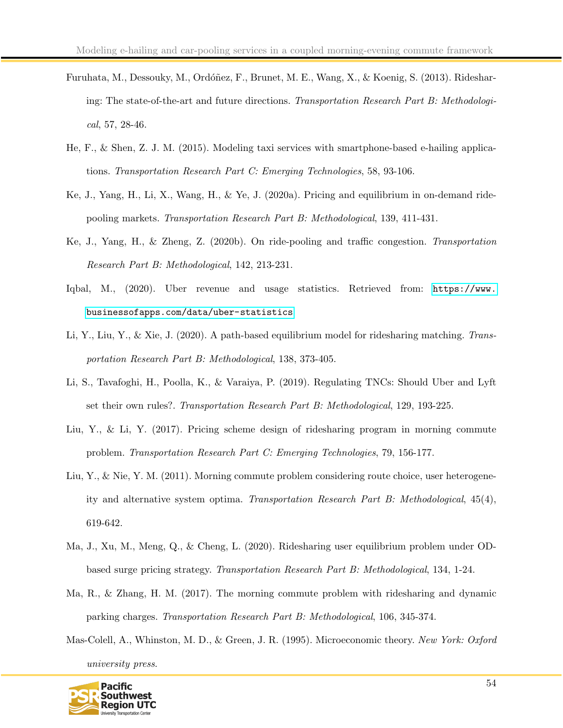- Furuhata, M., Dessouky, M., Ordóñez, F., Brunet, M. E., Wang, X., & Koenig, S. (2013). Ridesharing: The state-of-the-art and future directions. Transportation Research Part B: Methodological, 57, 28-46.
- He, F., & Shen, Z. J. M. (2015). Modeling taxi services with smartphone-based e-hailing applications. Transportation Research Part C: Emerging Technologies, 58, 93-106.
- Ke, J., Yang, H., Li, X., Wang, H., & Ye, J. (2020a). Pricing and equilibrium in on-demand ridepooling markets. Transportation Research Part B: Methodological, 139, 411-431.
- Ke, J., Yang, H., & Zheng, Z. (2020b). On ride-pooling and traffic congestion. Transportation Research Part B: Methodological, 142, 213-231.
- Iqbal, M., (2020). Uber revenue and usage statistics. Retrieved from: [https://www.](https://www.businessofapps.com/data/uber-statistics) [businessofapps.com/data/uber-statistics](https://www.businessofapps.com/data/uber-statistics)
- Li, Y., Liu, Y., & Xie, J. (2020). A path-based equilibrium model for ridesharing matching. Transportation Research Part B: Methodological, 138, 373-405.
- Li, S., Tavafoghi, H., Poolla, K., & Varaiya, P. (2019). Regulating TNCs: Should Uber and Lyft set their own rules?. Transportation Research Part B: Methodological, 129, 193-225.
- Liu, Y., & Li, Y. (2017). Pricing scheme design of ridesharing program in morning commute problem. Transportation Research Part C: Emerging Technologies, 79, 156-177.
- Liu, Y., & Nie, Y. M. (2011). Morning commute problem considering route choice, user heterogeneity and alternative system optima. Transportation Research Part B: Methodological, 45(4), 619-642.
- Ma, J., Xu, M., Meng, Q., & Cheng, L. (2020). Ridesharing user equilibrium problem under ODbased surge pricing strategy. Transportation Research Part B: Methodological, 134, 1-24.
- Ma, R., & Zhang, H. M. (2017). The morning commute problem with ridesharing and dynamic parking charges. Transportation Research Part B: Methodological, 106, 345-374.
- Mas-Colell, A., Whinston, M. D., & Green, J. R. (1995). Microeconomic theory. New York: Oxford university press.

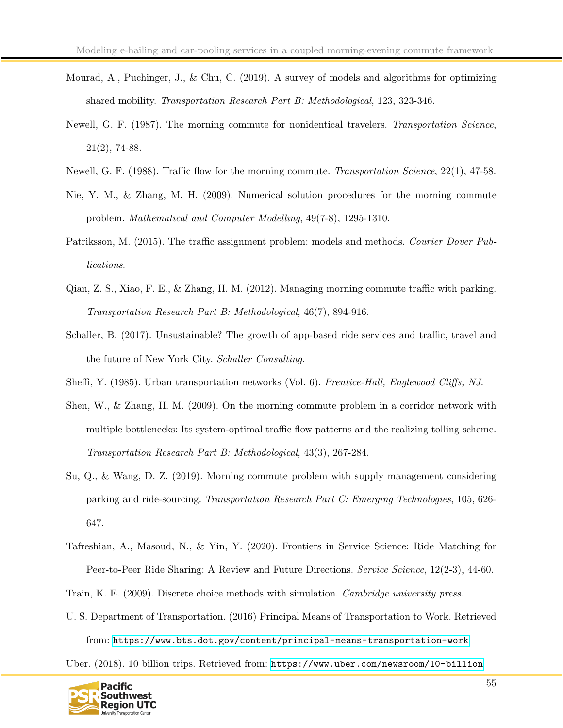- Mourad, A., Puchinger, J., & Chu, C. (2019). A survey of models and algorithms for optimizing shared mobility. Transportation Research Part B: Methodological, 123, 323-346.
- Newell, G. F. (1987). The morning commute for nonidentical travelers. Transportation Science, 21(2), 74-88.
- Newell, G. F. (1988). Traffic flow for the morning commute. Transportation Science, 22(1), 47-58.
- Nie, Y. M., & Zhang, M. H. (2009). Numerical solution procedures for the morning commute problem. Mathematical and Computer Modelling, 49(7-8), 1295-1310.
- Patriksson, M. (2015). The traffic assignment problem: models and methods. Courier Dover Publications.
- Qian, Z. S., Xiao, F. E., & Zhang, H. M. (2012). Managing morning commute traffic with parking. Transportation Research Part B: Methodological, 46(7), 894-916.
- Schaller, B. (2017). Unsustainable? The growth of app-based ride services and traffic, travel and the future of New York City. Schaller Consulting.
- Sheffi, Y. (1985). Urban transportation networks (Vol. 6). Prentice-Hall, Englewood Cliffs, NJ.
- Shen, W., & Zhang, H. M. (2009). On the morning commute problem in a corridor network with multiple bottlenecks: Its system-optimal traffic flow patterns and the realizing tolling scheme. Transportation Research Part B: Methodological, 43(3), 267-284.
- Su, Q., & Wang, D. Z. (2019). Morning commute problem with supply management considering parking and ride-sourcing. Transportation Research Part C: Emerging Technologies, 105, 626- 647.
- Tafreshian, A., Masoud, N., & Yin, Y. (2020). Frontiers in Service Science: Ride Matching for Peer-to-Peer Ride Sharing: A Review and Future Directions. Service Science, 12(2-3), 44-60.
- Train, K. E. (2009). Discrete choice methods with simulation. Cambridge university press.
- U. S. Department of Transportation. (2016) Principal Means of Transportation to Work. Retrieved from: <https://www.bts.dot.gov/content/principal-means-transportation-work>

Uber. (2018). 10 billion trips. Retrieved from: <https://www.uber.com/newsroom/10-billion>

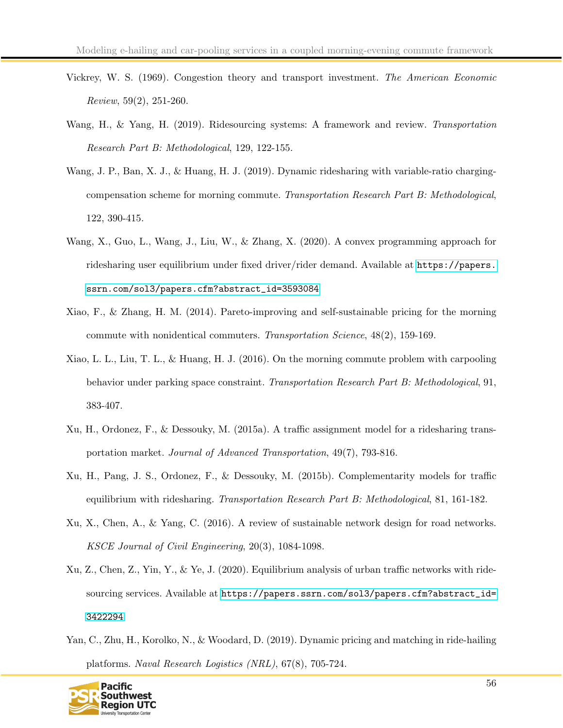- Vickrey, W. S. (1969). Congestion theory and transport investment. The American Economic Review, 59(2), 251-260.
- Wang, H., & Yang, H. (2019). Ridesourcing systems: A framework and review. Transportation Research Part B: Methodological, 129, 122-155.
- Wang, J. P., Ban, X. J., & Huang, H. J. (2019). Dynamic ridesharing with variable-ratio chargingcompensation scheme for morning commute. Transportation Research Part B: Methodological, 122, 390-415.
- Wang, X., Guo, L., Wang, J., Liu, W., & Zhang, X. (2020). A convex programming approach for ridesharing user equilibrium under fixed driver/rider demand. Available at [https://papers.](https://papers.ssrn.com/sol3/papers.cfm?abstract_id=3593084) [ssrn.com/sol3/papers.cfm?abstract\\_id=3593084](https://papers.ssrn.com/sol3/papers.cfm?abstract_id=3593084)
- Xiao, F., & Zhang, H. M. (2014). Pareto-improving and self-sustainable pricing for the morning commute with nonidentical commuters. Transportation Science, 48(2), 159-169.
- Xiao, L. L., Liu, T. L., & Huang, H. J. (2016). On the morning commute problem with carpooling behavior under parking space constraint. Transportation Research Part B: Methodological, 91, 383-407.
- Xu, H., Ordonez, F., & Dessouky, M. (2015a). A traffic assignment model for a ridesharing transportation market. Journal of Advanced Transportation, 49(7), 793-816.
- Xu, H., Pang, J. S., Ordonez, F., & Dessouky, M. (2015b). Complementarity models for traffic equilibrium with ridesharing. Transportation Research Part B: Methodological, 81, 161-182.
- Xu, X., Chen, A., & Yang, C. (2016). A review of sustainable network design for road networks. KSCE Journal of Civil Engineering, 20(3), 1084-1098.
- Xu, Z., Chen, Z., Yin, Y., & Ye, J. (2020). Equilibrium analysis of urban traffic networks with ridesourcing services. Available at [https://papers.ssrn.com/sol3/papers.cfm?abstract\\_id=](https://papers.ssrn.com/sol3/papers.cfm?abstract_id=3422294) [3422294](https://papers.ssrn.com/sol3/papers.cfm?abstract_id=3422294)
- Yan, C., Zhu, H., Korolko, N., & Woodard, D. (2019). Dynamic pricing and matching in ride-hailing platforms. Naval Research Logistics (NRL), 67(8), 705-724.

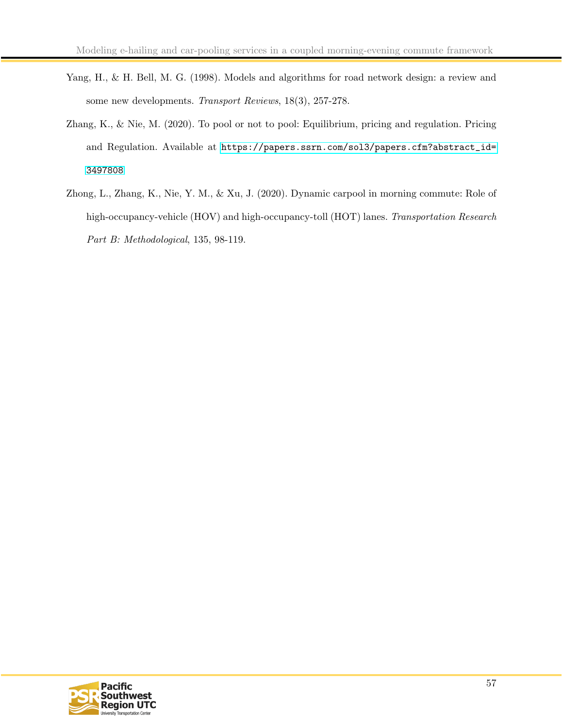- Yang, H., & H. Bell, M. G. (1998). Models and algorithms for road network design: a review and some new developments. Transport Reviews, 18(3), 257-278.
- Zhang, K., & Nie, M. (2020). To pool or not to pool: Equilibrium, pricing and regulation. Pricing and Regulation. Available at [https://papers.ssrn.com/sol3/papers.cfm?abstract\\_id=](https://papers.ssrn.com/sol3/papers.cfm?abstract_id=3497808) [3497808](https://papers.ssrn.com/sol3/papers.cfm?abstract_id=3497808)
- Zhong, L., Zhang, K., Nie, Y. M., & Xu, J. (2020). Dynamic carpool in morning commute: Role of high-occupancy-vehicle (HOV) and high-occupancy-toll (HOT) lanes. Transportation Research Part B: Methodological, 135, 98-119.

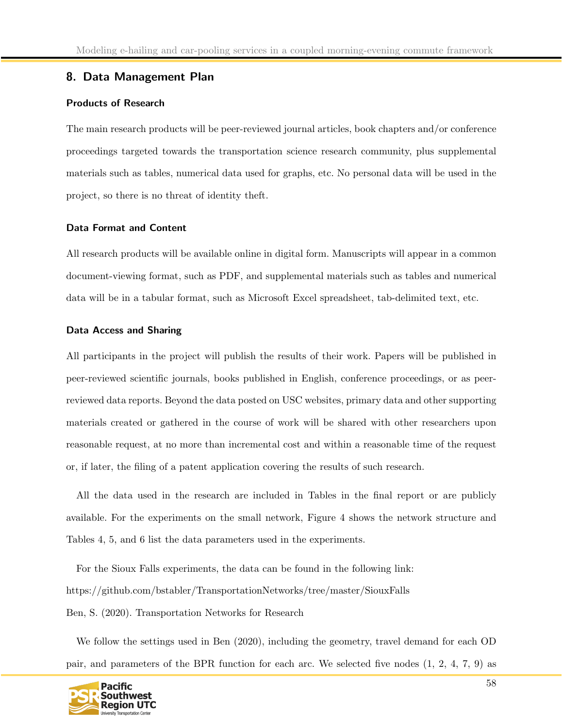# <span id="page-58-0"></span>8. Data Management Plan

### Products of Research

The main research products will be peer-reviewed journal articles, book chapters and/or conference proceedings targeted towards the transportation science research community, plus supplemental materials such as tables, numerical data used for graphs, etc. No personal data will be used in the project, so there is no threat of identity theft.

### Data Format and Content

All research products will be available online in digital form. Manuscripts will appear in a common document-viewing format, such as PDF, and supplemental materials such as tables and numerical data will be in a tabular format, such as Microsoft Excel spreadsheet, tab-delimited text, etc.

#### Data Access and Sharing

All participants in the project will publish the results of their work. Papers will be published in peer-reviewed scientific journals, books published in English, conference proceedings, or as peerreviewed data reports. Beyond the data posted on USC websites, primary data and other supporting materials created or gathered in the course of work will be shared with other researchers upon reasonable request, at no more than incremental cost and within a reasonable time of the request or, if later, the filing of a patent application covering the results of such research.

All the data used in the research are included in Tables in the final report or are publicly available. For the experiments on the small network, Figure 4 shows the network structure and Tables 4, 5, and 6 list the data parameters used in the experiments.

For the Sioux Falls experiments, the data can be found in the following link: https://github.com/bstabler/TransportationNetworks/tree/master/SiouxFalls Ben, S. (2020). Transportation Networks for Research

We follow the settings used in Ben (2020), including the geometry, travel demand for each OD pair, and parameters of the BPR function for each arc. We selected five nodes (1, 2, 4, 7, 9) as